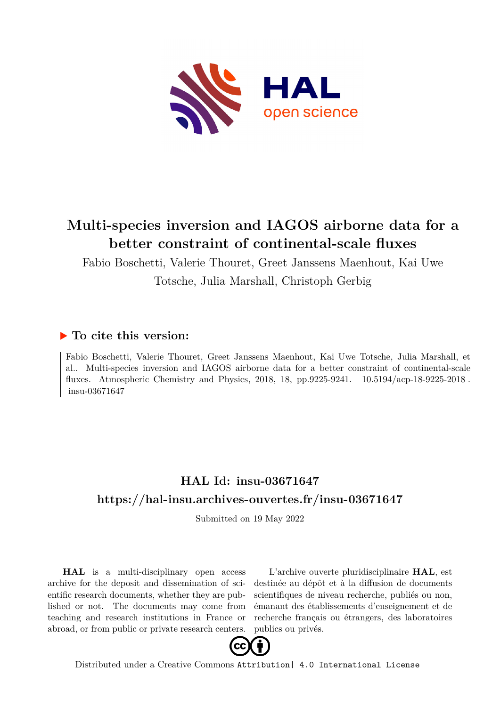

# **Multi-species inversion and IAGOS airborne data for a better constraint of continental-scale fluxes**

Fabio Boschetti, Valerie Thouret, Greet Janssens Maenhout, Kai Uwe Totsche, Julia Marshall, Christoph Gerbig

### **To cite this version:**

Fabio Boschetti, Valerie Thouret, Greet Janssens Maenhout, Kai Uwe Totsche, Julia Marshall, et al.. Multi-species inversion and IAGOS airborne data for a better constraint of continental-scale fluxes. Atmospheric Chemistry and Physics, 2018, 18, pp.9225-9241.  $10.5194/acp-18-9225-2018$ . insu-03671647

### **HAL Id: insu-03671647 <https://hal-insu.archives-ouvertes.fr/insu-03671647>**

Submitted on 19 May 2022

**HAL** is a multi-disciplinary open access archive for the deposit and dissemination of scientific research documents, whether they are published or not. The documents may come from teaching and research institutions in France or abroad, or from public or private research centers.

L'archive ouverte pluridisciplinaire **HAL**, est destinée au dépôt et à la diffusion de documents scientifiques de niveau recherche, publiés ou non, émanant des établissements d'enseignement et de recherche français ou étrangers, des laboratoires publics ou privés.



Distributed under a Creative Commons [Attribution| 4.0 International License](http://creativecommons.org/licenses/by/4.0/)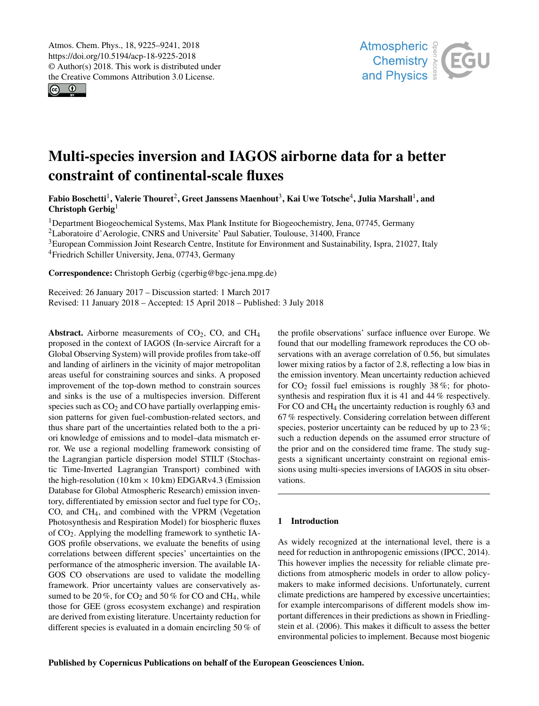$\circ$   $\circ$ 



## Multi-species inversion and IAGOS airborne data for a better constraint of continental-scale fluxes

Fabio Boschetti<sup>1</sup>, Valerie Thouret<sup>2</sup>, Greet Janssens Maenhout<sup>3</sup>, Kai Uwe Totsche<sup>4</sup>, Julia Marshall<sup>1</sup>, and Christoph Gerbig<sup>1</sup>

<sup>1</sup>Department Biogeochemical Systems, Max Plank Institute for Biogeochemistry, Jena, 07745, Germany

<sup>2</sup>Laboratoire d'Aerologie, CNRS and Universite' Paul Sabatier, Toulouse, 31400, France

<sup>3</sup>European Commission Joint Research Centre, Institute for Environment and Sustainability, Ispra, 21027, Italy

<sup>4</sup>Friedrich Schiller University, Jena, 07743, Germany

Correspondence: Christoph Gerbig (cgerbig@bgc-jena.mpg.de)

Received: 26 January 2017 – Discussion started: 1 March 2017 Revised: 11 January 2018 – Accepted: 15 April 2018 – Published: 3 July 2018

Abstract. Airborne measurements of  $CO<sub>2</sub>$ , CO, and CH<sub>4</sub> proposed in the context of IAGOS (In-service Aircraft for a Global Observing System) will provide profiles from take-off and landing of airliners in the vicinity of major metropolitan areas useful for constraining sources and sinks. A proposed improvement of the top-down method to constrain sources and sinks is the use of a multispecies inversion. Different species such as  $CO<sub>2</sub>$  and CO have partially overlapping emission patterns for given fuel-combustion-related sectors, and thus share part of the uncertainties related both to the a priori knowledge of emissions and to model–data mismatch error. We use a regional modelling framework consisting of the Lagrangian particle dispersion model STILT (Stochastic Time-Inverted Lagrangian Transport) combined with the high-resolution ( $10 \text{ km} \times 10 \text{ km}$ ) EDGARv4.3 (Emission Database for Global Atmospheric Research) emission inventory, differentiated by emission sector and fuel type for  $CO<sub>2</sub>$ , CO, and CH4, and combined with the VPRM (Vegetation Photosynthesis and Respiration Model) for biospheric fluxes of CO2. Applying the modelling framework to synthetic IA-GOS profile observations, we evaluate the benefits of using correlations between different species' uncertainties on the performance of the atmospheric inversion. The available IA-GOS CO observations are used to validate the modelling framework. Prior uncertainty values are conservatively assumed to be 20 %, for  $CO<sub>2</sub>$  and 50 % for CO and CH<sub>4</sub>, while those for GEE (gross ecosystem exchange) and respiration are derived from existing literature. Uncertainty reduction for different species is evaluated in a domain encircling 50 % of the profile observations' surface influence over Europe. We found that our modelling framework reproduces the CO observations with an average correlation of 0.56, but simulates lower mixing ratios by a factor of 2.8, reflecting a low bias in the emission inventory. Mean uncertainty reduction achieved for  $CO<sub>2</sub>$  fossil fuel emissions is roughly 38%; for photosynthesis and respiration flux it is 41 and 44 % respectively. For CO and CH<sup>4</sup> the uncertainty reduction is roughly 63 and 67 % respectively. Considering correlation between different species, posterior uncertainty can be reduced by up to 23 %; such a reduction depends on the assumed error structure of the prior and on the considered time frame. The study suggests a significant uncertainty constraint on regional emissions using multi-species inversions of IAGOS in situ observations.

#### 1 Introduction

As widely recognized at the international level, there is a need for reduction in anthropogenic emissions (IPCC, 2014). This however implies the necessity for reliable climate predictions from atmospheric models in order to allow policymakers to make informed decisions. Unfortunately, current climate predictions are hampered by excessive uncertainties; for example intercomparisons of different models show important differences in their predictions as shown in Friedlingstein et al. (2006). This makes it difficult to assess the better environmental policies to implement. Because most biogenic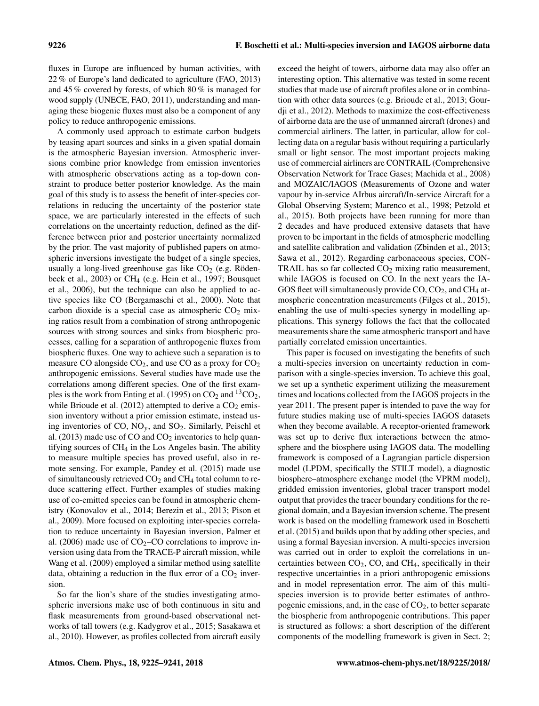fluxes in Europe are influenced by human activities, with 22 % of Europe's land dedicated to agriculture (FAO, 2013) and 45 % covered by forests, of which 80 % is managed for wood supply (UNECE, FAO, 2011), understanding and managing these biogenic fluxes must also be a component of any policy to reduce anthropogenic emissions.

A commonly used approach to estimate carbon budgets by teasing apart sources and sinks in a given spatial domain is the atmospheric Bayesian inversion. Atmospheric inversions combine prior knowledge from emission inventories with atmospheric observations acting as a top-down constraint to produce better posterior knowledge. As the main goal of this study is to assess the benefit of inter-species correlations in reducing the uncertainty of the posterior state space, we are particularly interested in the effects of such correlations on the uncertainty reduction, defined as the difference between prior and posterior uncertainty normalized by the prior. The vast majority of published papers on atmospheric inversions investigate the budget of a single species, usually a long-lived greenhouse gas like  $CO<sub>2</sub>$  (e.g. Rödenbeck et al., 2003) or CH<sup>4</sup> (e.g. Hein et al., 1997; Bousquet et al., 2006), but the technique can also be applied to active species like CO (Bergamaschi et al., 2000). Note that carbon dioxide is a special case as atmospheric  $CO<sub>2</sub>$  mixing ratios result from a combination of strong anthropogenic sources with strong sources and sinks from biospheric processes, calling for a separation of anthropogenic fluxes from biospheric fluxes. One way to achieve such a separation is to measure CO alongside  $CO<sub>2</sub>$ , and use CO as a proxy for  $CO<sub>2</sub>$ anthropogenic emissions. Several studies have made use the correlations among different species. One of the first examples is the work from Enting et al. (1995) on  $CO<sub>2</sub>$  and  $^{13}CO<sub>2</sub>$ , while Brioude et al. (2012) attempted to derive a  $CO<sub>2</sub>$  emission inventory without a prior emission estimate, instead using inventories of CO,  $NO_y$ , and  $SO_2$ . Similarly, Peischl et al.  $(2013)$  made use of CO and CO<sub>2</sub> inventories to help quantifying sources of CH<sup>4</sup> in the Los Angeles basin. The ability to measure multiple species has proved useful, also in remote sensing. For example, Pandey et al. (2015) made use of simultaneously retrieved  $CO<sub>2</sub>$  and  $CH<sub>4</sub>$  total column to reduce scattering effect. Further examples of studies making use of co-emitted species can be found in atmospheric chemistry (Konovalov et al., 2014; Berezin et al., 2013; Pison et al., 2009). More focused on exploiting inter-species correlation to reduce uncertainty in Bayesian inversion, Palmer et al. (2006) made use of  $CO<sub>2</sub>-CO$  correlations to improve inversion using data from the TRACE-P aircraft mission, while Wang et al. (2009) employed a similar method using satellite data, obtaining a reduction in the flux error of a  $CO<sub>2</sub>$  inversion.

So far the lion's share of the studies investigating atmospheric inversions make use of both continuous in situ and flask measurements from ground-based observational networks of tall towers (e.g. Kadygrov et al., 2015; Sasakawa et al., 2010). However, as profiles collected from aircraft easily exceed the height of towers, airborne data may also offer an interesting option. This alternative was tested in some recent studies that made use of aircraft profiles alone or in combination with other data sources (e.g. Brioude et al., 2013; Gourdji et al., 2012). Methods to maximize the cost-effectiveness of airborne data are the use of unmanned aircraft (drones) and commercial airliners. The latter, in particular, allow for collecting data on a regular basis without requiring a particularly small or light sensor. The most important projects making use of commercial airliners are CONTRAIL (Comprehensive Observation Network for Trace Gases; Machida et al., 2008) and MOZAIC/IAGOS (Measurements of Ozone and water vapour by in-service AIrbus aircraft/In-service Aircraft for a Global Observing System; Marenco et al., 1998; Petzold et al., 2015). Both projects have been running for more than 2 decades and have produced extensive datasets that have proven to be important in the fields of atmospheric modelling and satellite calibration and validation (Zbinden et al., 2013; Sawa et al., 2012). Regarding carbonaceous species, CON-TRAIL has so far collected  $CO<sub>2</sub>$  mixing ratio measurement, while IAGOS is focused on CO. In the next years the IA-GOS fleet will simultaneously provide  $CO$ ,  $CO<sub>2</sub>$ , and  $CH<sub>4</sub>$  atmospheric concentration measurements (Filges et al., 2015), enabling the use of multi-species synergy in modelling applications. This synergy follows the fact that the collocated measurements share the same atmospheric transport and have partially correlated emission uncertainties.

This paper is focused on investigating the benefits of such a multi-species inversion on uncertainty reduction in comparison with a single-species inversion. To achieve this goal, we set up a synthetic experiment utilizing the measurement times and locations collected from the IAGOS projects in the year 2011. The present paper is intended to pave the way for future studies making use of multi-species IAGOS datasets when they become available. A receptor-oriented framework was set up to derive flux interactions between the atmosphere and the biosphere using IAGOS data. The modelling framework is composed of a Lagrangian particle dispersion model (LPDM, specifically the STILT model), a diagnostic biosphere–atmosphere exchange model (the VPRM model), gridded emission inventories, global tracer transport model output that provides the tracer boundary conditions for the regional domain, and a Bayesian inversion scheme. The present work is based on the modelling framework used in Boschetti et al. (2015) and builds upon that by adding other species, and using a formal Bayesian inversion. A multi-species inversion was carried out in order to exploit the correlations in uncertainties between  $CO<sub>2</sub>$ ,  $CO$ , and  $CH<sub>4</sub>$ , specifically in their respective uncertainties in a priori anthropogenic emissions and in model representation error. The aim of this multispecies inversion is to provide better estimates of anthropogenic emissions, and, in the case of  $CO<sub>2</sub>$ , to better separate the biospheric from anthropogenic contributions. This paper is structured as follows: a short description of the different components of the modelling framework is given in Sect. 2;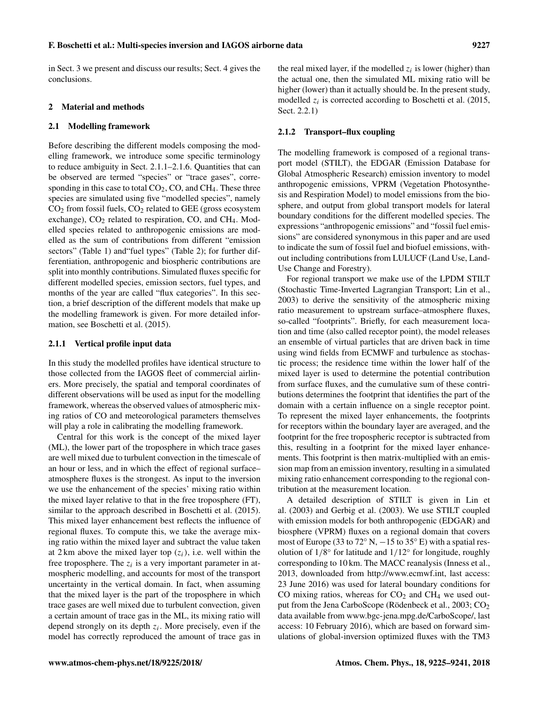in Sect. 3 we present and discuss our results; Sect. 4 gives the conclusions.

#### 2 Material and methods

#### 2.1 Modelling framework

Before describing the different models composing the modelling framework, we introduce some specific terminology to reduce ambiguity in Sect. 2.1.1–2.1.6. Quantities that can be observed are termed "species" or "trace gases", corresponding in this case to total CO<sub>2</sub>, CO, and CH<sub>4</sub>. These three species are simulated using five "modelled species", namely  $CO<sub>2</sub>$  from fossil fuels,  $CO<sub>2</sub>$  related to GEE (gross ecosystem exchange),  $CO<sub>2</sub>$  related to respiration,  $CO$ , and  $CH<sub>4</sub>$ . Modelled species related to anthropogenic emissions are modelled as the sum of contributions from different "emission sectors" (Table 1) and "fuel types" (Table 2); for further differentiation, anthropogenic and biospheric contributions are split into monthly contributions. Simulated fluxes specific for different modelled species, emission sectors, fuel types, and months of the year are called "flux categories". In this section, a brief description of the different models that make up the modelling framework is given. For more detailed information, see Boschetti et al. (2015).

#### 2.1.1 Vertical profile input data

In this study the modelled profiles have identical structure to those collected from the IAGOS fleet of commercial airliners. More precisely, the spatial and temporal coordinates of different observations will be used as input for the modelling framework, whereas the observed values of atmospheric mixing ratios of CO and meteorological parameters themselves will play a role in calibrating the modelling framework.

Central for this work is the concept of the mixed layer (ML), the lower part of the troposphere in which trace gases are well mixed due to turbulent convection in the timescale of an hour or less, and in which the effect of regional surface– atmosphere fluxes is the strongest. As input to the inversion we use the enhancement of the species' mixing ratio within the mixed layer relative to that in the free troposphere (FT), similar to the approach described in Boschetti et al. (2015). This mixed layer enhancement best reflects the influence of regional fluxes. To compute this, we take the average mixing ratio within the mixed layer and subtract the value taken at 2 km above the mixed layer top  $(z<sub>i</sub>)$ , i.e. well within the free troposphere. The  $z_i$  is a very important parameter in atmospheric modelling, and accounts for most of the transport uncertainty in the vertical domain. In fact, when assuming that the mixed layer is the part of the troposphere in which trace gases are well mixed due to turbulent convection, given a certain amount of trace gas in the ML, its mixing ratio will depend strongly on its depth  $z_i$ . More precisely, even if the model has correctly reproduced the amount of trace gas in

the real mixed layer, if the modelled  $z_i$  is lower (higher) than the actual one, then the simulated ML mixing ratio will be higher (lower) than it actually should be. In the present study, modelled  $z_i$  is corrected according to Boschetti et al. (2015, Sect. 2.2.1)

#### 2.1.2 Transport–flux coupling

The modelling framework is composed of a regional transport model (STILT), the EDGAR (Emission Database for Global Atmospheric Research) emission inventory to model anthropogenic emissions, VPRM (Vegetation Photosynthesis and Respiration Model) to model emissions from the biosphere, and output from global transport models for lateral boundary conditions for the different modelled species. The expressions "anthropogenic emissions" and "fossil fuel emissions" are considered synonymous in this paper and are used to indicate the sum of fossil fuel and biofuel emissions, without including contributions from LULUCF (Land Use, Land-Use Change and Forestry).

For regional transport we make use of the LPDM STILT (Stochastic Time-Inverted Lagrangian Transport; Lin et al., 2003) to derive the sensitivity of the atmospheric mixing ratio measurement to upstream surface–atmosphere fluxes, so-called "footprints". Briefly, for each measurement location and time (also called receptor point), the model releases an ensemble of virtual particles that are driven back in time using wind fields from ECMWF and turbulence as stochastic process; the residence time within the lower half of the mixed layer is used to determine the potential contribution from surface fluxes, and the cumulative sum of these contributions determines the footprint that identifies the part of the domain with a certain influence on a single receptor point. To represent the mixed layer enhancements, the footprints for receptors within the boundary layer are averaged, and the footprint for the free tropospheric receptor is subtracted from this, resulting in a footprint for the mixed layer enhancements. This footprint is then matrix-multiplied with an emission map from an emission inventory, resulting in a simulated mixing ratio enhancement corresponding to the regional contribution at the measurement location.

A detailed description of STILT is given in Lin et al. (2003) and Gerbig et al. (2003). We use STILT coupled with emission models for both anthropogenic (EDGAR) and biosphere (VPRM) fluxes on a regional domain that covers most of Europe (33 to 72° N,  $-15$  to 35° E) with a spatial resolution of 1/8° for latitude and 1/12° for longitude, roughly corresponding to 10 km. The MACC reanalysis (Inness et al., 2013, downloaded from [http://www.ecmwf.int,](http://www.ecmwf.int) last access: 23 June 2016) was used for lateral boundary conditions for CO mixing ratios, whereas for  $CO<sub>2</sub>$  and  $CH<sub>4</sub>$  we used output from the Jena CarboScope (Rödenbeck et al., 2003; CO<sub>2</sub> data available from [www.bgc-jena.mpg.de/CarboScope/,](www.bgc-jena.mpg.de/CarboScope/) last access: 10 February 2016), which are based on forward simulations of global-inversion optimized fluxes with the TM3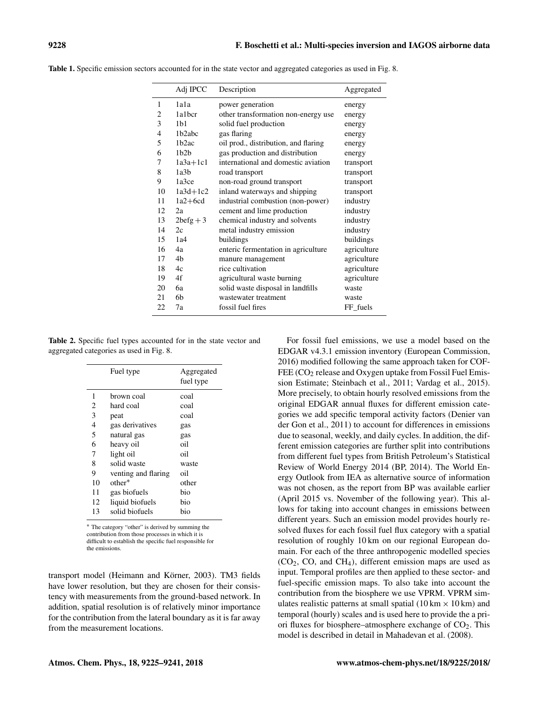|                | Adj IPCC           | Description                          | Aggregated  |
|----------------|--------------------|--------------------------------------|-------------|
| 1              | 1a1a               | power generation                     | energy      |
| 2              | 1a1bcr             | other transformation non-energy use  | energy      |
| 3              | 1 <sub>b1</sub>    | solid fuel production                | energy      |
| $\overline{4}$ | 1 <sub>b2abc</sub> | gas flaring                          | energy      |
| 5              | 1 <sub>b2ac</sub>  | oil prod., distribution, and flaring | energy      |
| 6              | 1h2h               | gas production and distribution      | energy      |
| 7              | $1a3a+1c1$         | international and domestic aviation  | transport   |
| 8              | 1a3b               | road transport                       | transport   |
| 9              | 1a3ce              | non-road ground transport            | transport   |
| 10             | $1a3d+1c2$         | inland waterways and shipping        | transport   |
| 11             | $1a2+6cd$          | industrial combustion (non-power)    | industry    |
| 12             | 2a                 | cement and lime production           | industry    |
| 13             | $2\text{befg} + 3$ | chemical industry and solvents       | industry    |
| 14             | 2c                 | metal industry emission              | industry    |
| 15             | 1a4                | buildings                            | buildings   |
| 16             | 4a                 | enteric fermentation in agriculture  | agriculture |
| 17             | 4 <sub>b</sub>     | manure management                    | agriculture |
| 18             | 4c                 | rice cultivation                     | agriculture |
| 19             | 4f                 | agricultural waste burning           | agriculture |
| 20             | 6а                 | solid waste disposal in landfills    | waste       |
| 21             | 6b                 | wastewater treatment                 | waste       |
| 22             | 7a                 | fossil fuel fires                    | FF fuels    |

Table 1. Specific emission sectors accounted for in the state vector and aggregated categories as used in Fig. 8.

Table 2. Specific fuel types accounted for in the state vector and aggregated categories as used in Fig. 8.

|                | Fuel type           | Aggregated<br>fuel type |
|----------------|---------------------|-------------------------|
| 1              | brown coal          | coal                    |
| 2              | hard coal           | coal                    |
| 3              | peat                | coal                    |
| $\overline{4}$ | gas derivatives     | gas                     |
| 5              | natural gas         | gas                     |
| 6              | heavy oil           | oil                     |
| 7              | light oil           | oil                     |
| 8              | solid waste         | waste                   |
| 9              | venting and flaring | oil                     |
| 10             | $other*$            | other                   |
| 11             | gas biofuels        | bio                     |
| 12             | liquid biofuels     | bio                     |
| 13             | solid biofuels      | bio                     |

<sup>∗</sup> The category "other" is derived by summing the contribution from those processes in which it is difficult to establish the specific fuel responsible for the emissions.

transport model (Heimann and Körner, 2003). TM3 fields have lower resolution, but they are chosen for their consistency with measurements from the ground-based network. In addition, spatial resolution is of relatively minor importance for the contribution from the lateral boundary as it is far away from the measurement locations.

For fossil fuel emissions, we use a model based on the EDGAR v4.3.1 emission inventory (European Commission, 2016) modified following the same approach taken for COF-FEE (CO<sub>2</sub> release and Oxygen uptake from Fossil Fuel Emission Estimate; Steinbach et al., 2011; Vardag et al., 2015). More precisely, to obtain hourly resolved emissions from the original EDGAR annual fluxes for different emission categories we add specific temporal activity factors (Denier van der Gon et al., 2011) to account for differences in emissions due to seasonal, weekly, and daily cycles. In addition, the different emission categories are further split into contributions from different fuel types from British Petroleum's Statistical Review of World Energy 2014 (BP, 2014). The World Energy Outlook from IEA as alternative source of information was not chosen, as the report from BP was available earlier (April 2015 vs. November of the following year). This allows for taking into account changes in emissions between different years. Such an emission model provides hourly resolved fluxes for each fossil fuel flux category with a spatial resolution of roughly 10 km on our regional European domain. For each of the three anthropogenic modelled species  $(CO<sub>2</sub>, CO, and CH<sub>4</sub>)$ , different emission maps are used as input. Temporal profiles are then applied to these sector- and fuel-specific emission maps. To also take into account the contribution from the biosphere we use VPRM. VPRM simulates realistic patterns at small spatial  $(10 \text{ km} \times 10 \text{ km})$  and temporal (hourly) scales and is used here to provide the a priori fluxes for biosphere–atmosphere exchange of CO<sub>2</sub>. This model is described in detail in Mahadevan et al. (2008).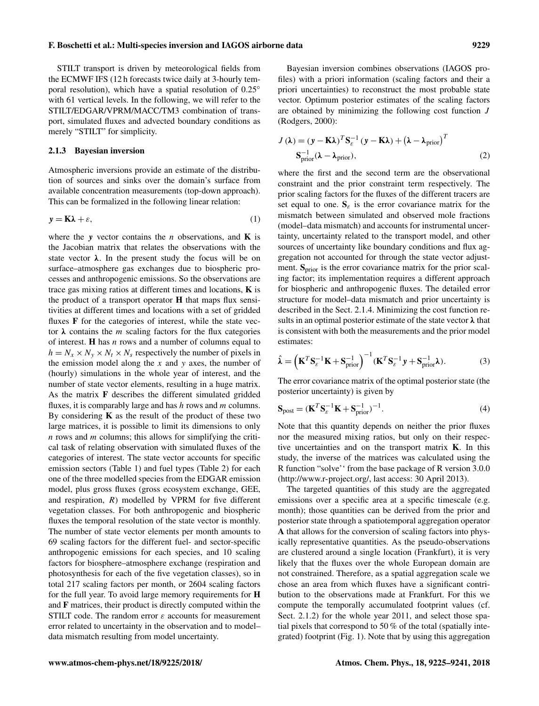STILT transport is driven by meteorological fields from the ECMWF IFS (12 h forecasts twice daily at 3-hourly temporal resolution), which have a spatial resolution of 0.25◦ with 61 vertical levels. In the following, we will refer to the STILT/EDGAR/VPRM/MACC/TM3 combination of transport, simulated fluxes and advected boundary conditions as merely "STILT" for simplicity.

#### 2.1.3 Bayesian inversion

Atmospheric inversions provide an estimate of the distribution of sources and sinks over the domain's surface from available concentration measurements (top-down approach). This can be formalized in the following linear relation:

$$
y = K\lambda + \varepsilon,\tag{1}
$$

where the y vector contains the *n* observations, and  $\bf{K}$  is the Jacobian matrix that relates the observations with the state vector  $\lambda$ . In the present study the focus will be on surface–atmosphere gas exchanges due to biospheric processes and anthropogenic emissions. So the observations are trace gas mixing ratios at different times and locations, K is the product of a transport operator H that maps flux sensitivities at different times and locations with a set of gridded fluxes F for the categories of interest, while the state vector  $\lambda$  contains the *m* scaling factors for the flux categories of interest. **H** has  $n$  rows and a number of columns equal to  $h = N_x \times N_y \times N_t \times N_s$  respectively the number of pixels in the emission model along the  $x$  and  $y$  axes, the number of (hourly) simulations in the whole year of interest, and the number of state vector elements, resulting in a huge matrix. As the matrix F describes the different simulated gridded fluxes, it is comparably large and has  $h$  rows and  $m$  columns. By considering  $K$  as the result of the product of these two large matrices, it is possible to limit its dimensions to only  $n$  rows and  $m$  columns; this allows for simplifying the critical task of relating observation with simulated fluxes of the categories of interest. The state vector accounts for specific emission sectors (Table 1) and fuel types (Table 2) for each one of the three modelled species from the EDGAR emission model, plus gross fluxes (gross ecosystem exchange, GEE, and respiration,  $R$ ) modelled by VPRM for five different vegetation classes. For both anthropogenic and biospheric fluxes the temporal resolution of the state vector is monthly. The number of state vector elements per month amounts to 69 scaling factors for the different fuel- and sector-specific anthropogenic emissions for each species, and 10 scaling factors for biosphere–atmosphere exchange (respiration and photosynthesis for each of the five vegetation classes), so in total 217 scaling factors per month, or 2604 scaling factors for the full year. To avoid large memory requirements for H and F matrices, their product is directly computed within the STILT code. The random error  $\varepsilon$  accounts for measurement error related to uncertainty in the observation and to model– data mismatch resulting from model uncertainty.

Bayesian inversion combines observations (IAGOS profiles) with a priori information (scaling factors and their a priori uncertainties) to reconstruct the most probable state vector. Optimum posterior estimates of the scaling factors are obtained by minimizing the following cost function J (Rodgers, 2000):

$$
J(\lambda) = (\mathbf{y} - \mathbf{K}\lambda)^T \mathbf{S}_{\varepsilon}^{-1} (\mathbf{y} - \mathbf{K}\lambda) + (\lambda - \lambda_{\text{prior}})^T
$$
  

$$
\mathbf{S}_{\text{prior}}^{-1} (\lambda - \lambda_{\text{prior}}),
$$
 (2)

where the first and the second term are the observational constraint and the prior constraint term respectively. The prior scaling factors for the fluxes of the different tracers are set equal to one.  $S_{\varepsilon}$  is the error covariance matrix for the mismatch between simulated and observed mole fractions (model–data mismatch) and accounts for instrumental uncertainty, uncertainty related to the transport model, and other sources of uncertainty like boundary conditions and flux aggregation not accounted for through the state vector adjustment.  $S_{prior}$  is the error covariance matrix for the prior scaling factor; its implementation requires a different approach for biospheric and anthropogenic fluxes. The detailed error structure for model–data mismatch and prior uncertainty is described in the Sect. 2.1.4. Minimizing the cost function results in an optimal posterior estimate of the state vector  $\lambda$  that is consistent with both the measurements and the prior model estimates:

$$
\hat{\boldsymbol{\lambda}} = \left( \mathbf{K}^T \mathbf{S}_{\varepsilon}^{-1} \mathbf{K} + \mathbf{S}_{\text{prior}}^{-1} \right)^{-1} (\mathbf{K}^T \mathbf{S}_{\varepsilon}^{-1} \mathbf{y} + \mathbf{S}_{\text{prior}}^{-1} \boldsymbol{\lambda}).
$$
\n(3)

The error covariance matrix of the optimal posterior state (the posterior uncertainty) is given by

$$
\mathbf{S}_{\text{post}} = (\mathbf{K}^T \mathbf{S}_{\varepsilon}^{-1} \mathbf{K} + \mathbf{S}_{\text{prior}}^{-1})^{-1}.
$$
 (4)

Note that this quantity depends on neither the prior fluxes nor the measured mixing ratios, but only on their respective uncertainties and on the transport matrix  $K$ . In this study, the inverse of the matrices was calculated using the R function "solve'' from the base package of R version 3.0.0 [\(http://www.r-project.org/,](http://www.r-project.org/) last access: 30 April 2013).

The targeted quantities of this study are the aggregated emissions over a specific area at a specific timescale (e.g. month); those quantities can be derived from the prior and posterior state through a spatiotemporal aggregation operator A that allows for the conversion of scaling factors into physically representative quantities. As the pseudo-observations are clustered around a single location (Frankfurt), it is very likely that the fluxes over the whole European domain are not constrained. Therefore, as a spatial aggregation scale we chose an area from which fluxes have a significant contribution to the observations made at Frankfurt. For this we compute the temporally accumulated footprint values (cf. Sect. 2.1.2) for the whole year 2011, and select those spatial pixels that correspond to 50 % of the total (spatially integrated) footprint (Fig. 1). Note that by using this aggregation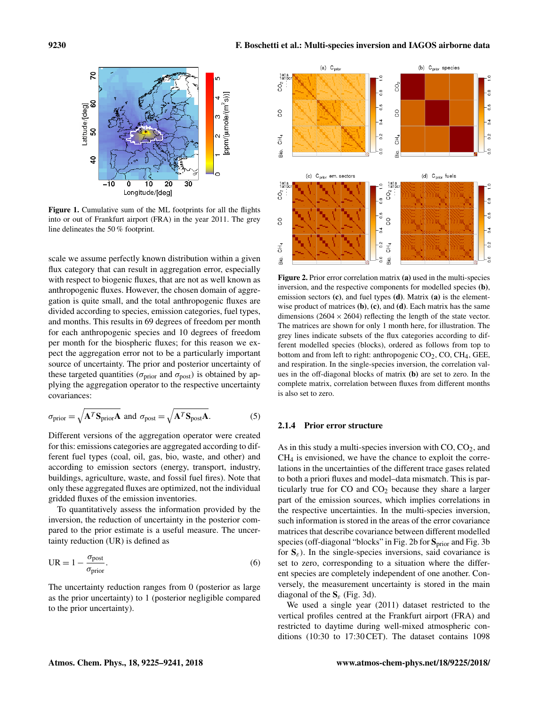

Figure 1. Cumulative sum of the ML footprints for all the flights into or out of Frankfurt airport (FRA) in the year 2011. The grey line delineates the 50 % footprint.

scale we assume perfectly known distribution within a given flux category that can result in aggregation error, especially with respect to biogenic fluxes, that are not as well known as anthropogenic fluxes. However, the chosen domain of aggregation is quite small, and the total anthropogenic fluxes are divided according to species, emission categories, fuel types, and months. This results in 69 degrees of freedom per month for each anthropogenic species and 10 degrees of freedom per month for the biospheric fluxes; for this reason we expect the aggregation error not to be a particularly important source of uncertainty. The prior and posterior uncertainty of these targeted quantities ( $\sigma_{prior}$  and  $\sigma_{post}$ ) is obtained by applying the aggregation operator to the respective uncertainty covariances:

$$
\sigma_{\text{prior}} = \sqrt{\mathbf{A}^T \mathbf{S}_{\text{prior}} \mathbf{A}} \text{ and } \sigma_{\text{post}} = \sqrt{\mathbf{A}^T \mathbf{S}_{\text{post}} \mathbf{A}}.
$$
 (5)

Different versions of the aggregation operator were created for this: emissions categories are aggregated according to different fuel types (coal, oil, gas, bio, waste, and other) and according to emission sectors (energy, transport, industry, buildings, agriculture, waste, and fossil fuel fires). Note that only these aggregated fluxes are optimized, not the individual gridded fluxes of the emission inventories.

To quantitatively assess the information provided by the inversion, the reduction of uncertainty in the posterior compared to the prior estimate is a useful measure. The uncertainty reduction (UR) is defined as

$$
UR = 1 - \frac{\sigma_{\text{post}}}{\sigma_{\text{prior}}}.
$$
\n(6)

The uncertainty reduction ranges from 0 (posterior as large as the prior uncertainty) to 1 (posterior negligible compared to the prior uncertainty).



Figure 2. Prior error correlation matrix (a) used in the multi-species inversion, and the respective components for modelled species (b), emission sectors  $(c)$ , and fuel types  $(d)$ . Matrix  $(a)$  is the elementwise product of matrices  $(b)$ ,  $(c)$ , and  $(d)$ . Each matrix has the same dimensions (2604  $\times$  2604) reflecting the length of the state vector. The matrices are shown for only 1 month here, for illustration. The grey lines indicate subsets of the flux categories according to different modelled species (blocks), ordered as follows from top to bottom and from left to right: anthropogenic  $CO<sub>2</sub>$ ,  $CO$ ,  $CH<sub>4</sub>$ , GEE, and respiration. In the single-species inversion, the correlation values in the off-diagonal blocks of matrix (b) are set to zero. In the complete matrix, correlation between fluxes from different months is also set to zero.

#### 2.1.4 Prior error structure

As in this study a multi-species inversion with  $CO$ ,  $CO<sub>2</sub>$ , and CH<sup>4</sup> is envisioned, we have the chance to exploit the correlations in the uncertainties of the different trace gases related to both a priori fluxes and model–data mismatch. This is particularly true for  $CO$  and  $CO<sub>2</sub>$  because they share a larger part of the emission sources, which implies correlations in the respective uncertainties. In the multi-species inversion, such information is stored in the areas of the error covariance matrices that describe covariance between different modelled species (off-diagonal "blocks" in Fig. 2b for S<sub>prior</sub> and Fig. 3b for  $S_{\varepsilon}$ ). In the single-species inversions, said covariance is set to zero, corresponding to a situation where the different species are completely independent of one another. Conversely, the measurement uncertainty is stored in the main diagonal of the  $S_{\varepsilon}$  (Fig. 3d).

We used a single year (2011) dataset restricted to the vertical profiles centred at the Frankfurt airport (FRA) and restricted to daytime during well-mixed atmospheric conditions (10:30 to 17:30 CET). The dataset contains 1098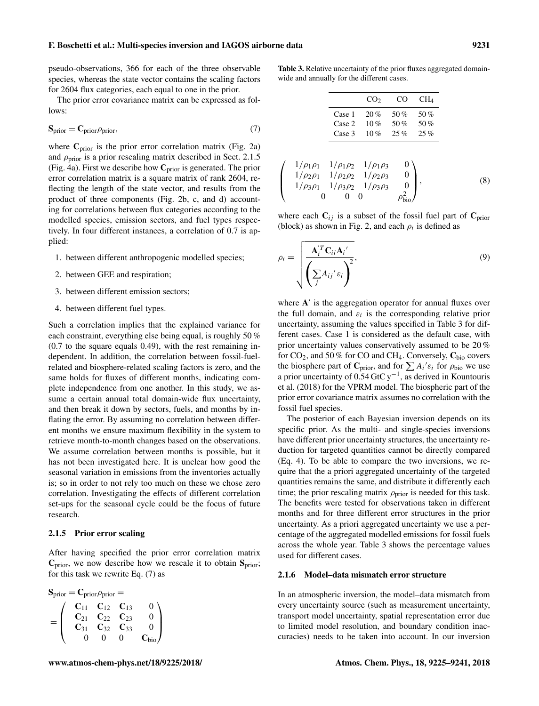pseudo-observations, 366 for each of the three observable species, whereas the state vector contains the scaling factors for 2604 flux categories, each equal to one in the prior.

The prior error covariance matrix can be expressed as follows:

$$
S_{prior} = C_{prior}\rho_{prior},\tag{7}
$$

where  $C_{prior}$  is the prior error correlation matrix (Fig. 2a) and  $\rho_{\text{prior}}$  is a prior rescaling matrix described in Sect. 2.1.5 (Fig. 4a). First we describe how  $C_{prior}$  is generated. The prior error correlation matrix is a square matrix of rank 2604, reflecting the length of the state vector, and results from the product of three components (Fig. 2b, c, and d) accounting for correlations between flux categories according to the modelled species, emission sectors, and fuel types respectively. In four different instances, a correlation of 0.7 is applied:

- 1. between different anthropogenic modelled species;
- 2. between GEE and respiration;
- 3. between different emission sectors;
- 4. between different fuel types.

Such a correlation implies that the explained variance for each constraint, everything else being equal, is roughly 50 % (0.7 to the square equals 0.49), with the rest remaining independent. In addition, the correlation between fossil-fuelrelated and biosphere-related scaling factors is zero, and the same holds for fluxes of different months, indicating complete independence from one another. In this study, we assume a certain annual total domain-wide flux uncertainty, and then break it down by sectors, fuels, and months by inflating the error. By assuming no correlation between different months we ensure maximum flexibility in the system to retrieve month-to-month changes based on the observations. We assume correlation between months is possible, but it has not been investigated here. It is unclear how good the seasonal variation in emissions from the inventories actually is; so in order to not rely too much on these we chose zero correlation. Investigating the effects of different correlation set-ups for the seasonal cycle could be the focus of future research.

#### 2.1.5 Prior error scaling

After having specified the prior error correlation matrix  $C_{prior}$ , we now describe how we rescale it to obtain  $S_{prior}$ ; for this task we rewrite Eq. (7) as

$$
S_{prior} = C_{prior}\rho_{prior} =
$$
  
= 
$$
\begin{pmatrix} C_{11} & C_{12} & C_{13} & 0 \\ C_{21} & C_{22} & C_{23} & 0 \\ C_{31} & C_{32} & C_{33} & 0 \\ 0 & 0 & 0 & C_{bio} \end{pmatrix}
$$

Table 3. Relative uncertainty of the prior fluxes aggregated domainwide and annually for the different cases.

|        | CO <sub>2</sub> | CO     | CH <sub>4</sub> |
|--------|-----------------|--------|-----------------|
| Case 1 | 20%             | 50 $%$ | 50 $%$          |
| Case 2 | 10%             | 50 $%$ | 50 $%$          |
| Case 3 | 10%             | 25%    | 25%             |

$$
\begin{pmatrix}\n1/\rho_1 \rho_1 & 1/\rho_1 \rho_2 & 1/\rho_1 \rho_3 & 0 \\
1/\rho_2 \rho_1 & 1/\rho_2 \rho_2 & 1/\rho_2 \rho_3 & 0 \\
1/\rho_3 \rho_1 & 1/\rho_3 \rho_2 & 1/\rho_3 \rho_3 & 0 \\
0 & 0 & 0 & \rho_{\text{bio}}^2\n\end{pmatrix},
$$
\n(8)

where each  $C_{ij}$  is a subset of the fossil fuel part of  $C_{prior}$ (block) as shown in Fig. 2, and each  $\rho_i$  is defined as

$$
\rho_i = \sqrt{\frac{\mathbf{A}_i^{'T} \mathbf{C}_{ii} \mathbf{A}_i'}{\left(\sum_j A_{ij}^{\prime} \varepsilon_i\right)^2}},\tag{9}
$$

where  $A'$  is the aggregation operator for annual fluxes over the full domain, and  $\varepsilon_i$  is the corresponding relative prior uncertainty, assuming the values specified in Table 3 for different cases. Case 1 is considered as the default case, with prior uncertainty values conservatively assumed to be 20 % for  $CO_2$ , and 50% for CO and CH<sub>4</sub>. Conversely,  $C_{bio}$  covers the biosphere part of  $\mathbf{C}_{\text{prior}}$ , and for  $\sum A_i \mathbf{c}_i$  for  $\rho_{\text{bio}}$  we use a prior uncertainty of  $0.54$  GtC y<sup>-1</sup>, as derived in Kountouris et al. (2018) for the VPRM model. The biospheric part of the prior error covariance matrix assumes no correlation with the fossil fuel species.

The posterior of each Bayesian inversion depends on its specific prior. As the multi- and single-species inversions have different prior uncertainty structures, the uncertainty reduction for targeted quantities cannot be directly compared (Eq. 4). To be able to compare the two inversions, we require that the a priori aggregated uncertainty of the targeted quantities remains the same, and distribute it differently each time; the prior rescaling matrix  $\rho_{\text{prior}}$  is needed for this task. The benefits were tested for observations taken in different months and for three different error structures in the prior uncertainty. As a priori aggregated uncertainty we use a percentage of the aggregated modelled emissions for fossil fuels across the whole year. Table 3 shows the percentage values used for different cases.

#### 2.1.6 Model–data mismatch error structure

In an atmospheric inversion, the model–data mismatch from every uncertainty source (such as measurement uncertainty, transport model uncertainty, spatial representation error due to limited model resolution, and boundary condition inaccuracies) needs to be taken into account. In our inversion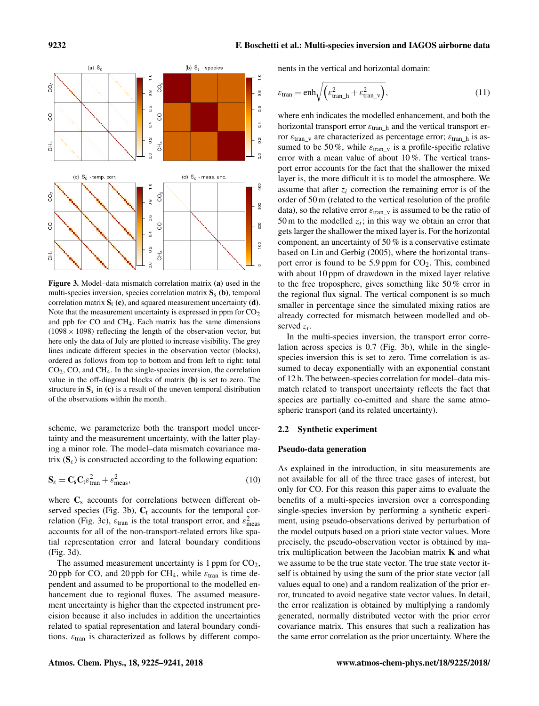

Figure 3. Model–data mismatch correlation matrix (a) used in the multi-species inversion, species correlation matrix  $S_s$  (b), temporal correlation matrix  $S_t$  (c), and squared measurement uncertainty (d). Note that the measurement uncertainty is expressed in ppm for  $CO<sub>2</sub>$ and ppb for CO and CH4. Each matrix has the same dimensions (1098  $\times$  1098) reflecting the length of the observation vector, but here only the data of July are plotted to increase visibility. The grey lines indicate different species in the observation vector (blocks), ordered as follows from top to bottom and from left to right: total  $CO<sub>2</sub>$ , CO, and CH<sub>4</sub>. In the single-species inversion, the correlation value in the off-diagonal blocks of matrix (b) is set to zero. The structure in  $S_s$  in (c) is a result of the uneven temporal distribution of the observations within the month.

scheme, we parameterize both the transport model uncertainty and the measurement uncertainty, with the latter playing a minor role. The model–data mismatch covariance matrix  $(S_{\varepsilon})$  is constructed according to the following equation:

$$
\mathbf{S}_{\varepsilon} = \mathbf{C}_{\mathbf{s}} \mathbf{C}_{\mathbf{t}} \varepsilon_{\text{tran}}^2 + \varepsilon_{\text{meas}}^2,\tag{10}
$$

where  $C_s$  accounts for correlations between different observed species (Fig. 3b),  $C_t$  accounts for the temporal correlation (Fig. 3c),  $\varepsilon_{\text{tran}}$  is the total transport error, and  $\varepsilon_{\text{meas}}^2$ accounts for all of the non-transport-related errors like spatial representation error and lateral boundary conditions (Fig. 3d).

The assumed measurement uncertainty is 1 ppm for  $CO<sub>2</sub>$ , 20 ppb for CO, and 20 ppb for CH<sub>4</sub>, while  $\varepsilon_{\text{tran}}$  is time dependent and assumed to be proportional to the modelled enhancement due to regional fluxes. The assumed measurement uncertainty is higher than the expected instrument precision because it also includes in addition the uncertainties related to spatial representation and lateral boundary conditions.  $\varepsilon_{\text{tran}}$  is characterized as follows by different components in the vertical and horizontal domain:

$$
\varepsilon_{\text{tran}} = \text{enh}_{\sqrt{\left(\varepsilon_{\text{tran}\_h}^2 + \varepsilon_{\text{tran}\_v}^2\right)}},\tag{11}
$$

where enh indicates the modelled enhancement, and both the horizontal transport error  $\varepsilon_{\text{tran-h}}$  and the vertical transport error  $\varepsilon_{\text{tran}}$  are characterized as percentage error;  $\varepsilon_{\text{tran}}$  is assumed to be 50%, while  $\varepsilon_{\text{tran}}$  v is a profile-specific relative error with a mean value of about 10 %. The vertical transport error accounts for the fact that the shallower the mixed layer is, the more difficult it is to model the atmosphere. We assume that after  $z_i$  correction the remaining error is of the order of 50 m (related to the vertical resolution of the profile data), so the relative error  $\varepsilon_{\text{tran}_v}$  is assumed to be the ratio of 50 m to the modelled  $z_i$ ; in this way we obtain an error that gets larger the shallower the mixed layer is. For the horizontal component, an uncertainty of 50 % is a conservative estimate based on Lin and Gerbig (2005), where the horizontal transport error is found to be 5.9 ppm for  $CO<sub>2</sub>$ . This, combined with about 10 ppm of drawdown in the mixed layer relative to the free troposphere, gives something like 50 % error in the regional flux signal. The vertical component is so much smaller in percentage since the simulated mixing ratios are already corrected for mismatch between modelled and observed  $z_i$ .

In the multi-species inversion, the transport error correlation across species is 0.7 (Fig. 3b), while in the singlespecies inversion this is set to zero. Time correlation is assumed to decay exponentially with an exponential constant of 12 h. The between-species correlation for model–data mismatch related to transport uncertainty reflects the fact that species are partially co-emitted and share the same atmospheric transport (and its related uncertainty).

#### 2.2 Synthetic experiment

#### Pseudo-data generation

As explained in the introduction, in situ measurements are not available for all of the three trace gases of interest, but only for CO. For this reason this paper aims to evaluate the benefits of a multi-species inversion over a corresponding single-species inversion by performing a synthetic experiment, using pseudo-observations derived by perturbation of the model outputs based on a priori state vector values. More precisely, the pseudo-observation vector is obtained by matrix multiplication between the Jacobian matrix  $K$  and what we assume to be the true state vector. The true state vector itself is obtained by using the sum of the prior state vector (all values equal to one) and a random realization of the prior error, truncated to avoid negative state vector values. In detail, the error realization is obtained by multiplying a randomly generated, normally distributed vector with the prior error covariance matrix. This ensures that such a realization has the same error correlation as the prior uncertainty. Where the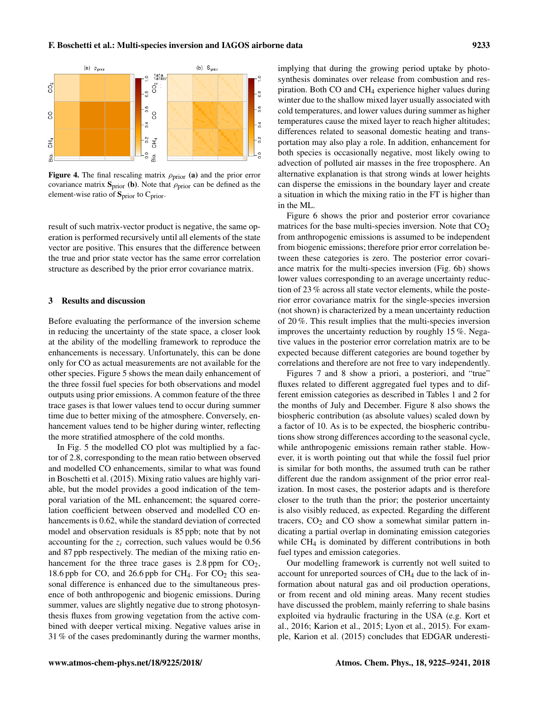

Figure 4. The final rescaling matrix  $\rho_{\text{prior}}$  (a) and the prior error covariance matrix  $S_{prior}$  (b). Note that  $\rho_{prior}$  can be defined as the element-wise ratio of  $S<sub>prior</sub>$  to  $C<sub>prior</sub>$ .

result of such matrix-vector product is negative, the same operation is performed recursively until all elements of the state vector are positive. This ensures that the difference between the true and prior state vector has the same error correlation structure as described by the prior error covariance matrix.

#### 3 Results and discussion

Before evaluating the performance of the inversion scheme in reducing the uncertainty of the state space, a closer look at the ability of the modelling framework to reproduce the enhancements is necessary. Unfortunately, this can be done only for CO as actual measurements are not available for the other species. Figure 5 shows the mean daily enhancement of the three fossil fuel species for both observations and model outputs using prior emissions. A common feature of the three trace gases is that lower values tend to occur during summer time due to better mixing of the atmosphere. Conversely, enhancement values tend to be higher during winter, reflecting the more stratified atmosphere of the cold months.

In Fig. 5 the modelled CO plot was multiplied by a factor of 2.8, corresponding to the mean ratio between observed and modelled CO enhancements, similar to what was found in Boschetti et al. (2015). Mixing ratio values are highly variable, but the model provides a good indication of the temporal variation of the ML enhancement; the squared correlation coefficient between observed and modelled CO enhancements is 0.62, while the standard deviation of corrected model and observation residuals is 85 ppb; note that by not accounting for the  $z_i$  correction, such values would be 0.56 and 87 ppb respectively. The median of the mixing ratio enhancement for the three trace gases is  $2.8$  ppm for  $CO<sub>2</sub>$ , 18.6 ppb for CO, and 26.6 ppb for  $CH_4$ . For  $CO_2$  this seasonal difference is enhanced due to the simultaneous presence of both anthropogenic and biogenic emissions. During summer, values are slightly negative due to strong photosynthesis fluxes from growing vegetation from the active combined with deeper vertical mixing. Negative values arise in 31 % of the cases predominantly during the warmer months, implying that during the growing period uptake by photosynthesis dominates over release from combustion and respiration. Both CO and CH<sup>4</sup> experience higher values during winter due to the shallow mixed layer usually associated with cold temperatures, and lower values during summer as higher temperatures cause the mixed layer to reach higher altitudes; differences related to seasonal domestic heating and transportation may also play a role. In addition, enhancement for both species is occasionally negative, most likely owing to advection of polluted air masses in the free troposphere. An alternative explanation is that strong winds at lower heights can disperse the emissions in the boundary layer and create a situation in which the mixing ratio in the FT is higher than in the ML.

Figure 6 shows the prior and posterior error covariance matrices for the base multi-species inversion. Note that  $CO<sub>2</sub>$ from anthropogenic emissions is assumed to be independent from biogenic emissions; therefore prior error correlation between these categories is zero. The posterior error covariance matrix for the multi-species inversion (Fig. 6b) shows lower values corresponding to an average uncertainty reduction of 23 % across all state vector elements, while the posterior error covariance matrix for the single-species inversion (not shown) is characterized by a mean uncertainty reduction of 20 %. This result implies that the multi-species inversion improves the uncertainty reduction by roughly 15 %. Negative values in the posterior error correlation matrix are to be expected because different categories are bound together by correlations and therefore are not free to vary independently.

Figures 7 and 8 show a priori, a posteriori, and "true" fluxes related to different aggregated fuel types and to different emission categories as described in Tables 1 and 2 for the months of July and December. Figure 8 also shows the biospheric contribution (as absolute values) scaled down by a factor of 10. As is to be expected, the biospheric contributions show strong differences according to the seasonal cycle, while anthropogenic emissions remain rather stable. However, it is worth pointing out that while the fossil fuel prior is similar for both months, the assumed truth can be rather different due the random assignment of the prior error realization. In most cases, the posterior adapts and is therefore closer to the truth than the prior; the posterior uncertainty is also visibly reduced, as expected. Regarding the different tracers,  $CO<sub>2</sub>$  and  $CO$  show a somewhat similar pattern indicating a partial overlap in dominating emission categories while CH<sub>4</sub> is dominated by different contributions in both fuel types and emission categories.

Our modelling framework is currently not well suited to account for unreported sources of CH<sub>4</sub> due to the lack of information about natural gas and oil production operations, or from recent and old mining areas. Many recent studies have discussed the problem, mainly referring to shale basins exploited via hydraulic fracturing in the USA (e.g. Kort et al., 2016; Karion et al., 2015; Lyon et al., 2015). For example, Karion et al. (2015) concludes that EDGAR underesti-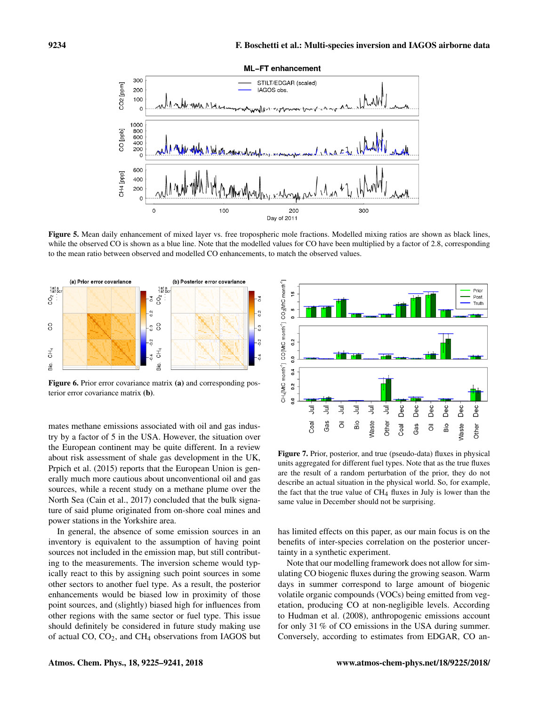

Figure 5. Mean daily enhancement of mixed layer vs. free tropospheric mole fractions. Modelled mixing ratios are shown as black lines, while the observed CO is shown as a blue line. Note that the modelled values for CO have been multiplied by a factor of 2.8, corresponding to the mean ratio between observed and modelled CO enhancements, to match the observed values.



Figure 6. Prior error covariance matrix (a) and corresponding posterior error covariance matrix (b).

mates methane emissions associated with oil and gas industry by a factor of 5 in the USA. However, the situation over the European continent may be quite different. In a review about risk assessment of shale gas development in the UK, Prpich et al. (2015) reports that the European Union is generally much more cautious about unconventional oil and gas sources, while a recent study on a methane plume over the North Sea (Cain et al., 2017) concluded that the bulk signature of said plume originated from on-shore coal mines and power stations in the Yorkshire area.

In general, the absence of some emission sources in an inventory is equivalent to the assumption of having point sources not included in the emission map, but still contributing to the measurements. The inversion scheme would typically react to this by assigning such point sources in some other sectors to another fuel type. As a result, the posterior enhancements would be biased low in proximity of those point sources, and (slightly) biased high for influences from other regions with the same sector or fuel type. This issue should definitely be considered in future study making use of actual  $CO$ ,  $CO<sub>2</sub>$ , and  $CH<sub>4</sub>$  observations from IAGOS but



Figure 7. Prior, posterior, and true (pseudo-data) fluxes in physical units aggregated for different fuel types. Note that as the true fluxes are the result of a random perturbation of the prior, they do not describe an actual situation in the physical world. So, for example, the fact that the true value of  $CH<sub>4</sub>$  fluxes in July is lower than the same value in December should not be surprising.

has limited effects on this paper, as our main focus is on the benefits of inter-species correlation on the posterior uncertainty in a synthetic experiment.

Note that our modelling framework does not allow for simulating CO biogenic fluxes during the growing season. Warm days in summer correspond to large amount of biogenic volatile organic compounds (VOCs) being emitted from vegetation, producing CO at non-negligible levels. According to Hudman et al. (2008), anthropogenic emissions account for only 31 % of CO emissions in the USA during summer. Conversely, according to estimates from EDGAR, CO an-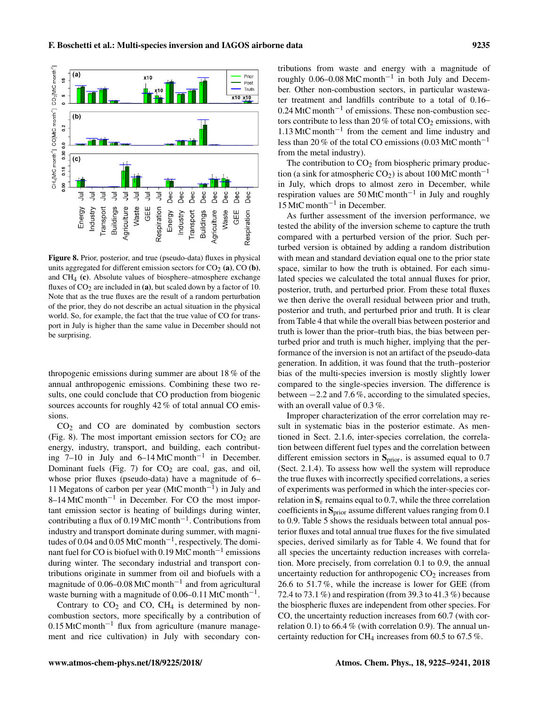



Figure 8. Prior, posterior, and true (pseudo-data) fluxes in physical units aggregated for different emission sectors for  $CO<sub>2</sub>$  (a),  $CO$  (b), and CH4 (c). Absolute values of biosphere–atmosphere exchange fluxes of  $CO<sub>2</sub>$  are included in (a), but scaled down by a factor of 10. Note that as the true fluxes are the result of a random perturbation of the prior, they do not describe an actual situation in the physical world. So, for example, the fact that the true value of CO for transport in July is higher than the same value in December should not be surprising.

thropogenic emissions during summer are about 18 % of the annual anthropogenic emissions. Combining these two results, one could conclude that CO production from biogenic sources accounts for roughly 42 % of total annual CO emissions.

 $CO<sub>2</sub>$  and  $CO$  are dominated by combustion sectors (Fig. 8). The most important emission sectors for  $CO<sub>2</sub>$  are energy, industry, transport, and building, each contributing  $7-10$  in July and  $6-14$  MtC month<sup>-1</sup> in December. Dominant fuels (Fig. 7) for  $CO<sub>2</sub>$  are coal, gas, and oil, whose prior fluxes (pseudo-data) have a magnitude of 6– 11 Megatons of carbon per year (MtC month−<sup>1</sup> ) in July and 8–14 MtC month−<sup>1</sup> in December. For CO the most important emission sector is heating of buildings during winter, contributing a flux of 0.19 MtC month−<sup>1</sup> . Contributions from industry and transport dominate during summer, with magnitudes of 0.04 and 0.05 MtC month−<sup>1</sup> , respectively. The dominant fuel for CO is biofuel with 0.19 MtC month<sup>-1</sup> emissions during winter. The secondary industrial and transport contributions originate in summer from oil and biofuels with a magnitude of  $0.06-0.08$  MtC month<sup>-1</sup> and from agricultural waste burning with a magnitude of 0.06–0.11 MtC month<sup>-1</sup>.

Contrary to  $CO<sub>2</sub>$  and  $CO<sub>2</sub>$ . CH<sub>4</sub> is determined by noncombustion sectors, more specifically by a contribution of 0.15 MtC month−<sup>1</sup> flux from agriculture (manure management and rice cultivation) in July with secondary contributions from waste and energy with a magnitude of roughly  $0.06-0.08$  MtC month<sup>-1</sup> in both July and December. Other non-combustion sectors, in particular wastewater treatment and landfills contribute to a total of 0.16– 0.24 MtC month−<sup>1</sup> of emissions. These non-combustion sectors contribute to less than 20 % of total  $CO<sub>2</sub>$  emissions, with 1.13 MtC month−<sup>1</sup> from the cement and lime industry and less than 20 % of the total CO emissions (0.03 MtC month−<sup>1</sup> from the metal industry).

The contribution to  $CO<sub>2</sub>$  from biospheric primary production (a sink for atmospheric  $CO_2$ ) is about 100 MtC month<sup>-1</sup> in July, which drops to almost zero in December, while respiration values are  $50$  MtC month<sup>-1</sup> in July and roughly 15 MtC month−<sup>1</sup> in December.

As further assessment of the inversion performance, we tested the ability of the inversion scheme to capture the truth compared with a perturbed version of the prior. Such perturbed version is obtained by adding a random distribution with mean and standard deviation equal one to the prior state space, similar to how the truth is obtained. For each simulated species we calculated the total annual fluxes for prior, posterior, truth, and perturbed prior. From these total fluxes we then derive the overall residual between prior and truth, posterior and truth, and perturbed prior and truth. It is clear from Table 4 that while the overall bias between posterior and truth is lower than the prior–truth bias, the bias between perturbed prior and truth is much higher, implying that the performance of the inversion is not an artifact of the pseudo-data generation. In addition, it was found that the truth–posterior bias of the multi-species inversion is mostly slightly lower compared to the single-species inversion. The difference is between −2.2 and 7.6 %, according to the simulated species, with an overall value of 0.3 %.

Improper characterization of the error correlation may result in systematic bias in the posterior estimate. As mentioned in Sect. 2.1.6, inter-species correlation, the correlation between different fuel types and the correlation between different emission sectors in  $S<sub>prior</sub>$ , is assumed equal to 0.7 (Sect. 2.1.4). To assess how well the system will reproduce the true fluxes with incorrectly specified correlations, a series of experiments was performed in which the inter-species correlation in  $S_{\epsilon}$  remains equal to 0.7, while the three correlation coefficients in  $S<sub>prior</sub>$  assume different values ranging from 0.1 to 0.9. Table 5 shows the residuals between total annual posterior fluxes and total annual true fluxes for the five simulated species, derived similarly as for Table 4. We found that for all species the uncertainty reduction increases with correlation. More precisely, from correlation 0.1 to 0.9, the annual uncertainty reduction for anthropogenic  $CO<sub>2</sub>$  increases from 26.6 to 51.7 %, while the increase is lower for GEE (from 72.4 to 73.1 %) and respiration (from 39.3 to 41.3 %) because the biospheric fluxes are independent from other species. For CO, the uncertainty reduction increases from 60.7 (with correlation 0.1) to 66.4 % (with correlation 0.9). The annual uncertainty reduction for CH<sub>4</sub> increases from 60.5 to 67.5 %.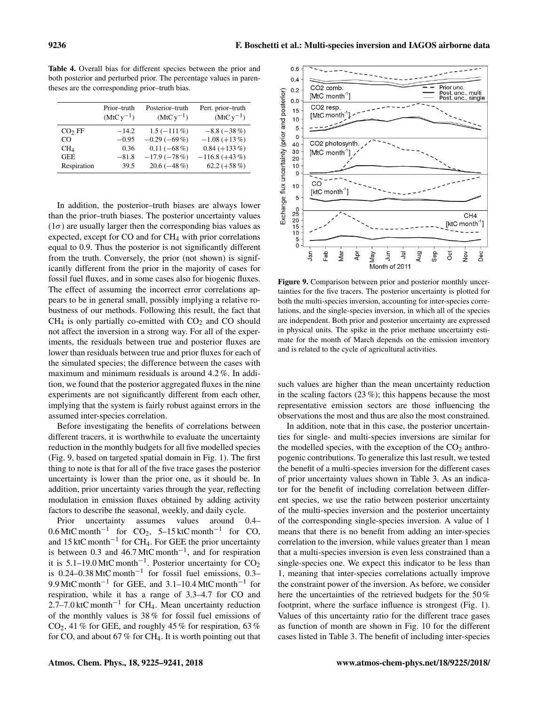$06$ 

Table 4. Overall bias for different species between the prior and both posterior and perturbed prior. The percentage values in parentheses are the corresponding prior–truth bias.

|                    | Prior-truth<br>$(MtCv^{-1})$ | Posterior-truth<br>$(MtC y^{-1})$ | Pert. prior-truth<br>$(MtC y^{-1})$ |
|--------------------|------------------------------|-----------------------------------|-------------------------------------|
| CO <sub>2</sub> FF | $-14.2$                      | $1.5(-111\%)$                     | $-8.8(-38%)$                        |
| CO                 | $-0.95$                      | $-0.29(-69%)$                     | $-1.08 (+13\%)$                     |
| CH <sub>4</sub>    | 0.36                         | $0.11(-68\%)$                     | $0.84 (+133\%)$                     |
| <b>GEE</b>         | $-81.8$                      | $-17.9(-78%)$                     | $-116.8 (+43%)$                     |
| Respiration        | 39.5                         | $20.6(-48\%)$                     | $62.2 (+58\%)$                      |

In addition, the posterior–truth biases are always lower than the prior–truth biases. The posterior uncertainty values  $(1\sigma)$  are usually larger then the corresponding bias values as expected, except for CO and for CH<sup>4</sup> with prior correlations equal to 0.9. Thus the posterior is not significantly different from the truth. Conversely, the prior (not shown) is significantly different from the prior in the majority of cases for fossil fuel fluxes, and in some cases also for biogenic fluxes. The effect of assuming the incorrect error correlations appears to be in general small, possibly implying a relative robustness of our methods. Following this result, the fact that  $CH<sub>4</sub>$  is only partially co-emitted with  $CO<sub>2</sub>$  and  $CO$  should not affect the inversion in a strong way. For all of the experiments, the residuals between true and posterior fluxes are lower than residuals between true and prior fluxes for each of the simulated species; the difference between the cases with maximum and minimum residuals is around 4.2 %. In addition, we found that the posterior aggregated fluxes in the nine experiments are not significantly different from each other, implying that the system is fairly robust against errors in the assumed inter-species correlation.

Before investigating the benefits of correlations between different tracers, it is worthwhile to evaluate the uncertainty reduction in the monthly budgets for all five modelled species (Fig. 9, based on targeted spatial domain in Fig. 1). The first thing to note is that for all of the five trace gases the posterior uncertainty is lower than the prior one, as it should be. In addition, prior uncertainty varies through the year, reflecting modulation in emission fluxes obtained by adding activity factors to describe the seasonal, weekly, and daily cycle.

Prior uncertainty assumes values around 0.4–  $0.6$  MtC month<sup>-1</sup> for CO<sub>2</sub>, 5-15 ktC month<sup>-1</sup> for CO, and 15 ktC month<sup>-1</sup> for CH<sub>4</sub>. For GEE the prior uncertainty is between 0.3 and 46.7 MtC month<sup>-1</sup>, and for respiration it is 5.1–19.0 MtC month<sup>-1</sup>. Posterior uncertainty for  $CO_2$ is 0.24–0.38 MtC month<sup>-1</sup> for fossil fuel emissions, 0.3– 9.9 MtC month<sup>-1</sup> for GEE, and 3.1–10.4 MtC month<sup>-1</sup> for respiration, while it has a range of 3.3–4.7 for CO and  $2.7-7.0$  ktC month<sup>-1</sup> for CH<sub>4</sub>. Mean uncertainty reduction of the monthly values is 38 % for fossil fuel emissions of  $CO<sub>2</sub>$ , 41 % for GEE, and roughly 45 % for respiration, 63 % for CO, and about 67 % for CH<sub>4</sub>. It is worth pointing out that

 $0.4$ CO<sub>2</sub> comb Prior unc  $0.2$ Exchange flux uncertainty (prior and posterior) mult Post. unc..  $[MtC$  month<sup>-1</sup> ost unc  $0.0$ CO<sub>2</sub> resp 15 [MtC month  $10$  $\overline{5}$  $\mathbf 0$ CO2 photosynth  $40$ 30 [MtC month<sup>-1</sup> 20  $10$  $\mathbf c$ co  $10$ [ktC month<sup>-1</sup>] 5  $\begin{smallmatrix} 0\ 25 \ 20 \end{smallmatrix}$ CH<sub>4</sub> [ktC month<sup>-1</sup>]  $\overline{15}$  $10$ 5  $\overline{c}$ Jan de<br>T Åpr  $\overline{5}$ ョ Aug qes Oct š Dec ylar vav Month of 2011

Figure 9. Comparison between prior and posterior monthly uncertainties for the five tracers. The posterior uncertainty is plotted for both the multi-species inversion, accounting for inter-species correlations, and the single-species inversion, in which all of the species are independent. Both prior and posterior uncertainty are expressed in physical units. The spike in the prior methane uncertainty estimate for the month of March depends on the emission inventory and is related to the cycle of agricultural activities.

such values are higher than the mean uncertainty reduction in the scaling factors  $(23\%)$ ; this happens because the most representative emission sectors are those influencing the observations the most and thus are also the most constrained.

In addition, note that in this case, the posterior uncertainties for single- and multi-species inversions are similar for the modelled species, with the exception of the  $CO<sub>2</sub>$  anthropogenic contributions. To generalize this last result, we tested the benefit of a multi-species inversion for the different cases of prior uncertainty values shown in Table 3. As an indicator for the benefit of including correlation between different species, we use the ratio between posterior uncertainty of the multi-species inversion and the posterior uncertainty of the corresponding single-species inversion. A value of 1 means that there is no benefit from adding an inter-species correlation to the inversion, while values greater than 1 mean that a multi-species inversion is even less constrained than a single-species one. We expect this indicator to be less than 1, meaning that inter-species correlations actually improve the constraint power of the inversion. As before, we consider here the uncertainties of the retrieved budgets for the 50 % footprint, where the surface influence is strongest (Fig. 1). Values of this uncertainty ratio for the different trace gases as function of month are shown in Fig. 10 for the different cases listed in Table 3. The benefit of including inter-species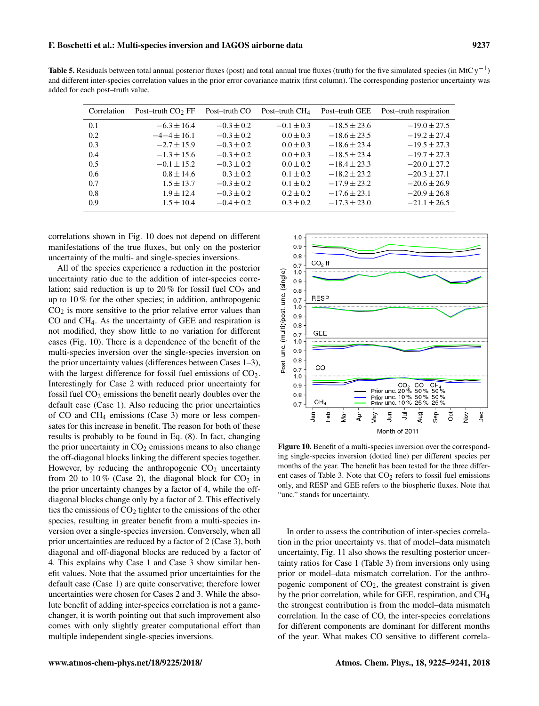Table 5. Residuals between total annual posterior fluxes (post) and total annual true fluxes (truth) for the five simulated species (in MtC y<sup>-1</sup>) and different inter-species correlation values in the prior error covariance matrix (first column). The corresponding posterior uncertainty was added for each post–truth value.

| Correlation | Post-truth $CO2 FF$ | Post-truth CO  | Post-truth $CH4$ | Post-truth GEE   | Post-truth respiration |
|-------------|---------------------|----------------|------------------|------------------|------------------------|
| 0.1         | $-6.3 \pm 16.4$     | $-0.3 \pm 0.2$ | $-0.1 \pm 0.3$   | $-18.5 \pm 23.6$ | $-19.0 \pm 27.5$       |
| 0.2         | $-4-4 \pm 16.1$     | $-0.3 \pm 0.2$ | $0.0 \pm 0.3$    | $-18.6 \pm 23.5$ | $-19.2 \pm 27.4$       |
| 0.3         | $-2.7 \pm 15.9$     | $-0.3 \pm 0.2$ | $0.0 \pm 0.3$    | $-18.6 \pm 23.4$ | $-19.5 \pm 27.3$       |
| 0.4         | $-1.3 \pm 15.6$     | $-0.3 \pm 0.2$ | $0.0 \pm 0.3$    | $-18.5 \pm 23.4$ | $-19.7 \pm 27.3$       |
| 0.5         | $-0.1 \pm 15.2$     | $-0.3 \pm 0.2$ | $0.0 \pm 0.2$    | $-18.4 \pm 23.3$ | $-20.0 \pm 27.2$       |
| 0.6         | $0.8 \pm 14.6$      | $0.3 \pm 0.2$  | $0.1 \pm 0.2$    | $-18.2 \pm 23.2$ | $-20.3 \pm 27.1$       |
| 0.7         | $1.5 \pm 13.7$      | $-0.3 \pm 0.2$ | $0.1 \pm 0.2$    | $-17.9 \pm 23.2$ | $-20.6 \pm 26.9$       |
| 0.8         | $1.9 \pm 12.4$      | $-0.3 \pm 0.2$ | $0.2 \pm 0.2$    | $-17.6 \pm 23.1$ | $-20.9 \pm 26.8$       |
| 0.9         | $1.5 \pm 10.4$      | $-0.4 \pm 0.2$ | $0.3 \pm 0.2$    | $-17.3 \pm 23.0$ | $-21.1 \pm 26.5$       |

correlations shown in Fig. 10 does not depend on different manifestations of the true fluxes, but only on the posterior uncertainty of the multi- and single-species inversions.

All of the species experience a reduction in the posterior uncertainty ratio due to the addition of inter-species correlation; said reduction is up to  $20\%$  for fossil fuel  $CO<sub>2</sub>$  and up to 10 % for the other species; in addition, anthropogenic  $CO<sub>2</sub>$  is more sensitive to the prior relative error values than CO and CH4. As the uncertainty of GEE and respiration is not modified, they show little to no variation for different cases (Fig. 10). There is a dependence of the benefit of the multi-species inversion over the single-species inversion on the prior uncertainty values (differences between Cases 1–3), with the largest difference for fossil fuel emissions of  $CO<sub>2</sub>$ . Interestingly for Case 2 with reduced prior uncertainty for fossil fuel  $CO<sub>2</sub>$  emissions the benefit nearly doubles over the default case (Case 1). Also reducing the prior uncertainties of CO and CH<sup>4</sup> emissions (Case 3) more or less compensates for this increase in benefit. The reason for both of these results is probably to be found in Eq. (8). In fact, changing the prior uncertainty in  $CO<sub>2</sub>$  emissions means to also change the off-diagonal blocks linking the different species together. However, by reducing the anthropogenic  $CO<sub>2</sub>$  uncertainty from 20 to 10% (Case 2), the diagonal block for  $CO<sub>2</sub>$  in the prior uncertainty changes by a factor of 4, while the offdiagonal blocks change only by a factor of 2. This effectively ties the emissions of  $CO<sub>2</sub>$  tighter to the emissions of the other species, resulting in greater benefit from a multi-species inversion over a single-species inversion. Conversely, when all prior uncertainties are reduced by a factor of 2 (Case 3), both diagonal and off-diagonal blocks are reduced by a factor of 4. This explains why Case 1 and Case 3 show similar benefit values. Note that the assumed prior uncertainties for the default case (Case 1) are quite conservative; therefore lower uncertainties were chosen for Cases 2 and 3. While the absolute benefit of adding inter-species correlation is not a gamechanger, it is worth pointing out that such improvement also comes with only slightly greater computational effort than multiple independent single-species inversions.



Figure 10. Benefit of a multi-species inversion over the corresponding single-species inversion (dotted line) per different species per months of the year. The benefit has been tested for the three different cases of Table 3. Note that  $CO<sub>2</sub>$  refers to fossil fuel emissions only, and RESP and GEE refers to the biospheric fluxes. Note that "unc." stands for uncertainty.

In order to assess the contribution of inter-species correlation in the prior uncertainty vs. that of model–data mismatch uncertainty, Fig. 11 also shows the resulting posterior uncertainty ratios for Case 1 (Table 3) from inversions only using prior or model–data mismatch correlation. For the anthropogenic component of  $CO<sub>2</sub>$ , the greatest constraint is given by the prior correlation, while for GEE, respiration, and CH<sup>4</sup> the strongest contribution is from the model–data mismatch correlation. In the case of CO, the inter-species correlations for different components are dominant for different months of the year. What makes CO sensitive to different correla-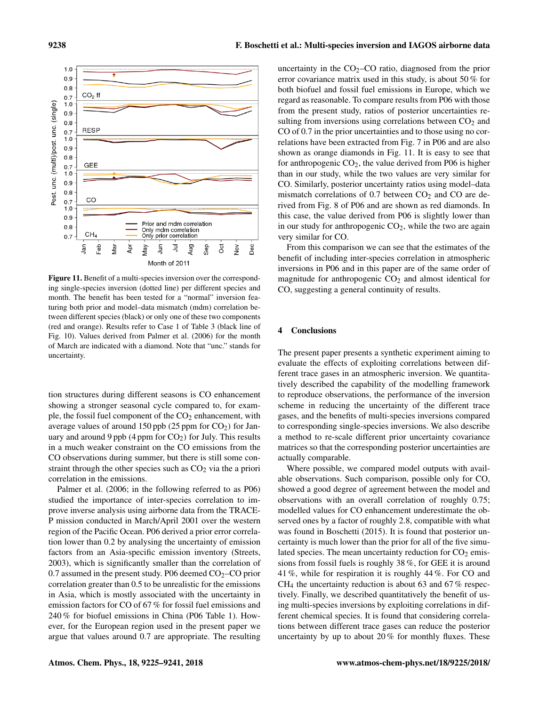

Figure 11. Benefit of a multi-species inversion over the corresponding single-species inversion (dotted line) per different species and month. The benefit has been tested for a "normal" inversion featuring both prior and model–data mismatch (mdm) correlation between different species (black) or only one of these two components (red and orange). Results refer to Case 1 of Table 3 (black line of Fig. 10). Values derived from Palmer et al. (2006) for the month of March are indicated with a diamond. Note that "unc." stands for uncertainty.

tion structures during different seasons is CO enhancement showing a stronger seasonal cycle compared to, for example, the fossil fuel component of the  $CO<sub>2</sub>$  enhancement, with average values of around 150 ppb (25 ppm for  $CO<sub>2</sub>$ ) for January and around 9 ppb (4 ppm for  $CO<sub>2</sub>$ ) for July. This results in a much weaker constraint on the CO emissions from the CO observations during summer, but there is still some constraint through the other species such as  $CO<sub>2</sub>$  via the a priori correlation in the emissions.

Palmer et al. (2006; in the following referred to as P06) studied the importance of inter-species correlation to improve inverse analysis using airborne data from the TRACE-P mission conducted in March/April 2001 over the western region of the Pacific Ocean. P06 derived a prior error correlation lower than 0.2 by analysing the uncertainty of emission factors from an Asia-specific emission inventory (Streets, 2003), which is significantly smaller than the correlation of 0.7 assumed in the present study. P06 deemed  $CO<sub>2</sub>-CO$  prior correlation greater than 0.5 to be unrealistic for the emissions in Asia, which is mostly associated with the uncertainty in emission factors for CO of 67 % for fossil fuel emissions and 240 % for biofuel emissions in China (P06 Table 1). However, for the European region used in the present paper we argue that values around 0.7 are appropriate. The resulting

uncertainty in the  $CO<sub>2</sub>-CO$  ratio, diagnosed from the prior error covariance matrix used in this study, is about 50 % for both biofuel and fossil fuel emissions in Europe, which we regard as reasonable. To compare results from P06 with those from the present study, ratios of posterior uncertainties resulting from inversions using correlations between  $CO<sub>2</sub>$  and CO of 0.7 in the prior uncertainties and to those using no correlations have been extracted from Fig. 7 in P06 and are also shown as orange diamonds in Fig. 11. It is easy to see that for anthropogenic  $CO<sub>2</sub>$ , the value derived from P06 is higher than in our study, while the two values are very similar for CO. Similarly, posterior uncertainty ratios using model–data mismatch correlations of  $0.7$  between  $CO<sub>2</sub>$  and  $CO$  are derived from Fig. 8 of P06 and are shown as red diamonds. In this case, the value derived from P06 is slightly lower than in our study for anthropogenic  $CO<sub>2</sub>$ , while the two are again very similar for CO.

From this comparison we can see that the estimates of the benefit of including inter-species correlation in atmospheric inversions in P06 and in this paper are of the same order of magnitude for anthropogenic  $CO<sub>2</sub>$  and almost identical for CO, suggesting a general continuity of results.

#### 4 Conclusions

The present paper presents a synthetic experiment aiming to evaluate the effects of exploiting correlations between different trace gases in an atmospheric inversion. We quantitatively described the capability of the modelling framework to reproduce observations, the performance of the inversion scheme in reducing the uncertainty of the different trace gases, and the benefits of multi-species inversions compared to corresponding single-species inversions. We also describe a method to re-scale different prior uncertainty covariance matrices so that the corresponding posterior uncertainties are actually comparable.

Where possible, we compared model outputs with available observations. Such comparison, possible only for CO, showed a good degree of agreement between the model and observations with an overall correlation of roughly 0.75; modelled values for CO enhancement underestimate the observed ones by a factor of roughly 2.8, compatible with what was found in Boschetti (2015). It is found that posterior uncertainty is much lower than the prior for all of the five simulated species. The mean uncertainty reduction for  $CO<sub>2</sub>$  emissions from fossil fuels is roughly 38 %, for GEE it is around 41 %, while for respiration it is roughly 44 %. For CO and  $CH<sub>4</sub>$  the uncertainty reduction is about 63 and 67% respectively. Finally, we described quantitatively the benefit of using multi-species inversions by exploiting correlations in different chemical species. It is found that considering correlations between different trace gases can reduce the posterior uncertainty by up to about 20 % for monthly fluxes. These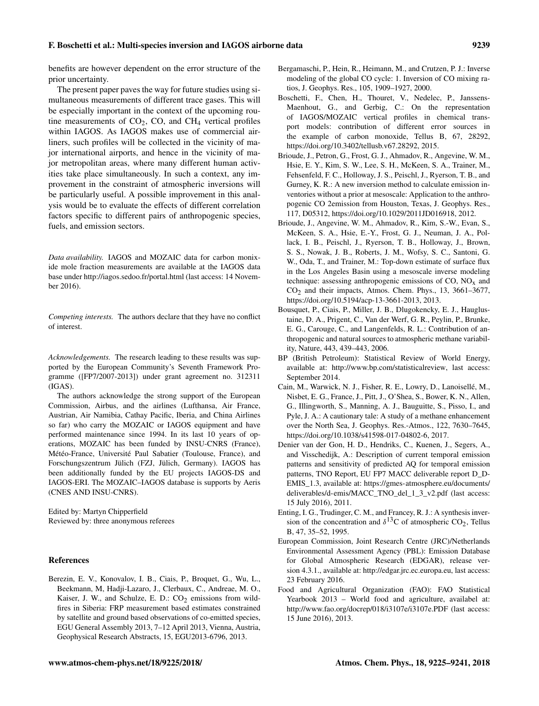benefits are however dependent on the error structure of the prior uncertainty.

The present paper paves the way for future studies using simultaneous measurements of different trace gases. This will be especially important in the context of the upcoming routine measurements of  $CO<sub>2</sub>$ ,  $CO<sub>2</sub>$ , and  $CH<sub>4</sub>$  vertical profiles within IAGOS. As IAGOS makes use of commercial airliners, such profiles will be collected in the vicinity of major international airports, and hence in the vicinity of major metropolitan areas, where many different human activities take place simultaneously. In such a context, any improvement in the constraint of atmospheric inversions will be particularly useful. A possible improvement in this analysis would be to evaluate the effects of different correlation factors specific to different pairs of anthropogenic species, fuels, and emission sectors.

*Data availability.* IAGOS and MOZAIC data for carbon monixide mole fraction measurements are available at the IAGOS data base under <http://iagos.sedoo.fr/portal.html> (last access: 14 November 2016).

*Competing interests.* The authors declare that they have no conflict of interest.

*Acknowledgements.* The research leading to these results was supported by the European Community's Seventh Framework Programme ([FP7/2007-2013]) under grant agreement no. 312311 (IGAS).

The authors acknowledge the strong support of the European Commission, Airbus, and the airlines (Lufthansa, Air France, Austrian, Air Namibia, Cathay Pacific, Iberia, and China Airlines so far) who carry the MOZAIC or IAGOS equipment and have performed maintenance since 1994. In its last 10 years of operations, MOZAIC has been funded by INSU-CNRS (France), Météo-France, Université Paul Sabatier (Toulouse, France), and Forschungszentrum Jülich (FZJ, Jülich, Germany). IAGOS has been additionally funded by the EU projects IAGOS-DS and IAGOS-ERI. The MOZAIC–IAGOS database is supports by Aeris (CNES AND INSU-CNRS).

Edited by: Martyn Chipperfield Reviewed by: three anonymous referees

#### References

Berezin, E. V., Konovalov, I. B., Ciais, P., Broquet, G., Wu, L., Beekmann, M, Hadji-Lazaro, J., Clerbaux, C., Andreae, M. O., Kaiser, J. W., and Schulze, E. D.:  $CO<sub>2</sub>$  emissions from wildfires in Siberia: FRP measurement based estimates constrained by satellite and ground based observations of co-emitted species, EGU General Assembly 2013, 7–12 April 2013, Vienna, Austria, Geophysical Research Abstracts, 15, EGU2013-6796, 2013.

- Bergamaschi, P., Hein, R., Heimann, M., and Crutzen, P. J.: Inverse modeling of the global CO cycle: 1. Inversion of CO mixing ratios, J. Geophys. Res., 105, 1909–1927, 2000.
- Boschetti, F., Chen, H., Thouret, V., Nedelec, P., Janssens-Maenhout, G., and Gerbig, C.: On the representation of IAGOS/MOZAIC vertical profiles in chemical transport models: contribution of different error sources in the example of carbon monoxide, Tellus B, 67, 28292, https://doi.org[/10.3402/tellusb.v67.28292,](https://doi.org/10.3402/tellusb.v67.28292) 2015.
- Brioude, J., Petron, G., Frost, G. J., Ahmadov, R., Angevine, W. M., Hsie, E. Y., Kim, S. W., Lee, S. H., McKeen, S. A., Trainer, M., Fehsenfeld, F. C., Holloway, J. S., Peischl, J., Ryerson, T. B., and Gurney, K. R.: A new inversion method to calculate emission inventories without a prior at mesoscale: Application to the anthropogenic CO 2emission from Houston, Texas, J. Geophys. Res., 117, D05312, https://doi.org[/10.1029/2011JD016918,](https://doi.org/10.1029/2011JD016918) 2012.
- Brioude, J., Angevine, W. M., Ahmadov, R., Kim, S.-W., Evan, S., McKeen, S. A., Hsie, E.-Y., Frost, G. J., Neuman, J. A., Pollack, I. B., Peischl, J., Ryerson, T. B., Holloway, J., Brown, S. S., Nowak, J. B., Roberts, J. M., Wofsy, S. C., Santoni, G. W., Oda, T., and Trainer, M.: Top-down estimate of surface flux in the Los Angeles Basin using a mesoscale inverse modeling technique: assessing anthropogenic emissions of  $CO$ ,  $NO<sub>x</sub>$  and  $CO<sub>2</sub>$  and their impacts, Atmos. Chem. Phys., 13, 3661–3677, https://doi.org[/10.5194/acp-13-3661-2013,](https://doi.org/10.5194/acp-13-3661-2013) 2013.
- Bousquet, P., Ciais, P., Miller, J. B., Dlugokencky, E. J., Hauglustaine, D. A., Prigent, C., Van der Werf, G. R., Peylin, P., Brunke, E. G., Carouge, C., and Langenfelds, R. L.: Contribution of anthropogenic and natural sources to atmospheric methane variability, Nature, 443, 439–443, 2006.
- BP (British Petroleum): Statistical Review of World Energy, available at: [http://www.bp.com/statisticalreview,](http://www.bp.com/statisticalreview) last access: September 2014.
- Cain, M., Warwick, N. J., Fisher, R. E., Lowry, D., Lanoisellé, M., Nisbet, E. G., France, J., Pitt, J., O'Shea, S., Bower, K. N., Allen, G., Illingworth, S., Manning, A. J., Bauguitte, S., Pisso, I., and Pyle, J. A.: A cautionary tale: A study of a methane enhancement over the North Sea, J. Geophys. Res.-Atmos., 122, 7630–7645, https://doi.org[/10.1038/s41598-017-04802-6,](https://doi.org/10.1038/s41598-017-04802-6) 2017.
- Denier van der Gon, H. D., Hendriks, C., Kuenen, J., Segers, A., and Visschedijk, A.: Description of current temporal emission patterns and sensitivity of predicted AQ for temporal emission patterns, TNO Report, EU FP7 MACC deliverable report D\_D-EMIS\_1.3, available at: [https://gmes-atmosphere.eu/documents/](https://gmes-atmosphere.eu/documents/deliverables/d-emis/MACC_TNO_del_1_3_v2.pdf) [deliverables/d-emis/MACC\\_TNO\\_del\\_1\\_3\\_v2.pdf](https://gmes-atmosphere.eu/documents/deliverables/d-emis/MACC_TNO_del_1_3_v2.pdf) (last access: 15 July 2016), 2011.
- Enting, I. G., Trudinger, C. M., and Francey, R. J.: A synthesis inversion of the concentration and  $\delta^{13}$ C of atmospheric CO<sub>2</sub>, Tellus B, 47, 35–52, 1995.
- European Commission, Joint Research Centre (JRC)/Netherlands Environmental Assessment Agency (PBL): Emission Database for Global Atmospheric Research (EDGAR), release version 4.3.1., available at: [http://edgar.jrc.ec.europa.eu,](http://edgar.jrc.ec.europa.eu) last access: 23 February 2016.
- Food and Agricultural Organization (FAO): FAO Statistical Yearbook 2013 – World food and agriculture, availabel at: <http://www.fao.org/docrep/018/i3107e/i3107e.PDF> (last access: 15 June 2016), 2013.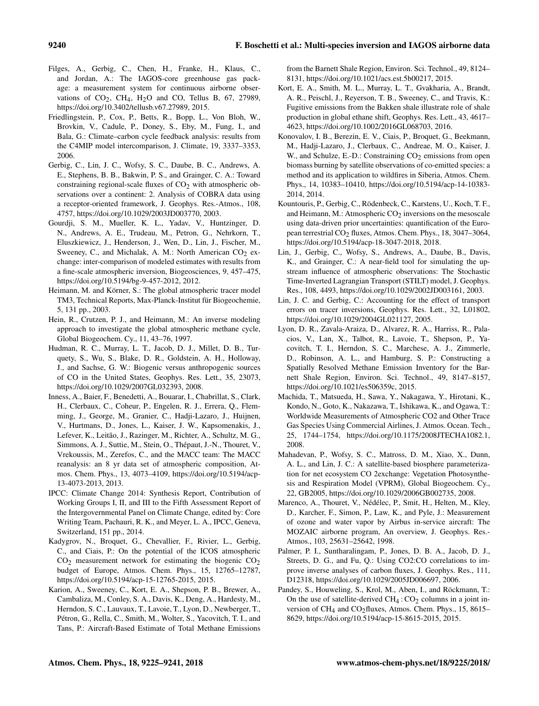- Filges, A., Gerbig, C., Chen, H., Franke, H., Klaus, C., and Jordan, A.: The IAGOS-core greenhouse gas package: a measurement system for continuous airborne observations of  $CO<sub>2</sub>$ ,  $CH<sub>4</sub>$ ,  $H<sub>2</sub>O$  and CO, Tellus B, 67, 27989, https://doi.org[/10.3402/tellusb.v67.27989,](https://doi.org/10.3402/tellusb.v67.27989) 2015.
- Friedlingstein, P., Cox, P., Betts, R., Bopp, L., Von Bloh, W., Brovkin, V., Cadule, P., Doney, S., Eby, M., Fung, I., and Bala, G.: Climate–carbon cycle feedback analysis: results from the C4MIP model intercomparison, J. Climate, 19, 3337–3353, 2006.
- Gerbig, C., Lin, J. C., Wofsy, S. C., Daube, B. C., Andrews, A. E., Stephens, B. B., Bakwin, P. S., and Grainger, C. A.: Toward constraining regional-scale fluxes of  $CO<sub>2</sub>$  with atmospheric observations over a continent: 2. Analysis of COBRA data using a receptor-oriented framework, J. Geophys. Res.-Atmos., 108, 4757, https://doi.org[/10.1029/2003JD003770,](https://doi.org/10.1029/2003JD003770) 2003.
- Gourdji, S. M., Mueller, K. L., Yadav, V., Huntzinger, D. N., Andrews, A. E., Trudeau, M., Petron, G., Nehrkorn, T., Eluszkiewicz, J., Henderson, J., Wen, D., Lin, J., Fischer, M., Sweeney, C., and Michalak, A. M.: North American CO<sub>2</sub> exchange: inter-comparison of modeled estimates with results from a fine-scale atmospheric inversion, Biogeosciences, 9, 457–475, https://doi.org[/10.5194/bg-9-457-2012,](https://doi.org/10.5194/bg-9-457-2012) 2012.
- Heimann, M. and Körner, S.: The global atmospheric tracer model TM3, Technical Reports, Max-Planck-Institut für Biogeochemie, 5, 131 pp., 2003.
- Hein, R., Crutzen, P. J., and Heimann, M.: An inverse modeling approach to investigate the global atmospheric methane cycle, Global Biogeochem. Cy., 11, 43–76, 1997.
- Hudman, R. C., Murray, L. T., Jacob, D. J., Millet, D. B., Turquety, S., Wu, S., Blake, D. R., Goldstein, A. H., Holloway, J., and Sachse, G. W.: Biogenic versus anthropogenic sources of CO in the United States, Geophys. Res. Lett., 35, 23073, https://doi.org[/10.1029/2007GL032393,](https://doi.org/10.1029/2007GL032393) 2008.
- Inness, A., Baier, F., Benedetti, A., Bouarar, I., Chabrillat, S., Clark, H., Clerbaux, C., Coheur, P., Engelen, R. J., Errera, Q., Flemming, J., George, M., Granier, C., Hadji-Lazaro, J., Huijnen, V., Hurtmans, D., Jones, L., Kaiser, J. W., Kapsomenakis, J., Lefever, K., Leitão, J., Razinger, M., Richter, A., Schultz, M. G., Simmons, A. J., Suttie, M., Stein, O., Thépaut, J.-N., Thouret, V., Vrekoussis, M., Zerefos, C., and the MACC team: The MACC reanalysis: an 8 yr data set of atmospheric composition, Atmos. Chem. Phys., 13, 4073–4109, https://doi.org/10.5194/acp-13-4073-2013, 2013.
- IPCC: Climate Change 2014: Synthesis Report, Contribution of Working Groups I, II, and III to the Fifth Assessment Report of the Intergovernmental Panel on Climate Change, edited by: Core Writing Team, Pachauri, R. K., and Meyer, L. A., IPCC, Geneva, Switzerland, 151 pp., 2014.
- Kadygrov, N., Broquet, G., Chevallier, F., Rivier, L., Gerbig, C., and Ciais, P.: On the potential of the ICOS atmospheric  $CO<sub>2</sub>$  measurement network for estimating the biogenic  $CO<sub>2</sub>$ budget of Europe, Atmos. Chem. Phys., 15, 12765–12787, https://doi.org[/10.5194/acp-15-12765-2015,](https://doi.org/10.5194/acp-15-12765-2015) 2015.
- Karion, A., Sweeney, C., Kort, E. A., Shepson, P. B., Brewer, A., Cambaliza, M., Conley, S. A., Davis, K., Deng, A., Hardesty, M., Herndon, S. C., Lauvaux, T., Lavoie, T., Lyon, D., Newberger, T., Pétron, G., Rella, C., Smith, M., Wolter, S., Yacovitch, T. I., and Tans, P.: Aircraft-Based Estimate of Total Methane Emissions

from the Barnett Shale Region, Environ. Sci. Technol., 49, 8124– 8131, https://doi.org[/10.1021/acs.est.5b00217,](https://doi.org/10.1021/acs.est.5b00217) 2015.

- Kort, E. A., Smith, M. L., Murray, L. T., Gvakharia, A., Brandt, A. R., Peischl, J., Reyerson, T. B., Sweeney, C., and Travis, K.: Fugitive emissions from the Bakken shale illustrate role of shale production in global ethane shift, Geophys. Res. Lett., 43, 4617– 4623, https://doi.org[/10.1002/2016GL068703,](https://doi.org/10.1002/2016GL068703) 2016.
- Konovalov, I. B., Berezin, E. V., Ciais, P., Broquet, G., Beekmann, M., Hadji-Lazaro, J., Clerbaux, C., Andreae, M. O., Kaiser, J. W., and Schulze, E.-D.: Constraining CO<sub>2</sub> emissions from open biomass burning by satellite observations of co-emitted species: a method and its application to wildfires in Siberia, Atmos. Chem. Phys., 14, 10383–10410, https://doi.org[/10.5194/acp-14-10383-](https://doi.org/10.5194/acp-14-10383-2014) [2014,](https://doi.org/10.5194/acp-14-10383-2014) 2014.
- Kountouris, P., Gerbig, C., Rödenbeck, C., Karstens, U., Koch, T. F., and Heimann, M.: Atmospheric  $CO<sub>2</sub>$  inversions on the mesoscale using data-driven prior uncertainties: quantification of the European terrestrial CO<sub>2</sub> fluxes, Atmos. Chem. Phys., 18, 3047–3064, https://doi.org[/10.5194/acp-18-3047-2018,](https://doi.org/10.5194/acp-18-3047-2018) 2018.
- Lin, J., Gerbig, C., Wofsy, S., Andrews, A., Daube, B., Davis, K., and Grainger, C.: A near-field tool for simulating the upstream influence of atmospheric observations: The Stochastic Time-Inverted Lagrangian Transport (STILT) model, J. Geophys. Res., 108, 4493, https://doi.org[/10.1029/2002JD003161,](https://doi.org/10.1029/2002JD003161) 2003.
- Lin, J. C. and Gerbig, C.: Accounting for the effect of transport errors on tracer inversions, Geophys. Res. Lett., 32, L01802, https://doi.org[/10.1029/2004GL021127,](https://doi.org/10.1029/2004GL021127) 2005.
- Lyon, D. R., Zavala-Araiza, D., Alvarez, R. A., Harriss, R., Palacios, V., Lan, X., Talbot, R., Lavoie, T., Shepson, P., Yacovitch, T. I., Herndon, S. C., Marchese, A. J., Zimmerle, D., Robinson, A. L., and Hamburg, S. P.: Constructing a Spatially Resolved Methane Emission Inventory for the Barnett Shale Region, Environ. Sci. Technol., 49, 8147–8157, https://doi.org[/10.1021/es506359c,](https://doi.org/10.1021/es506359c) 2015.
- Machida, T., Matsueda, H., Sawa, Y., Nakagawa, Y., Hirotani, K., Kondo, N., Goto, K., Nakazawa, T., Ishikawa, K., and Ogawa, T.: Worldwide Measurements of Atmospheric CO2 and Other Trace Gas Species Using Commercial Airlines, J. Atmos. Ocean. Tech., 25, 1744–1754, https://doi.org[/10.1175/2008JTECHA1082.1,](https://doi.org/10.1175/2008JTECHA1082.1) 2008.
- Mahadevan, P., Wofsy, S. C., Matross, D. M., Xiao, X., Dunn, A. L., and Lin, J. C.: A satellite-based biosphere parameterization for net ecosystem CO 2exchange: Vegetation Photosynthesis and Respiration Model (VPRM), Global Biogeochem. Cy., 22, GB2005, https://doi.org[/10.1029/2006GB002735,](https://doi.org/10.1029/2006GB002735) 2008.
- Marenco, A., Thouret, V., Nédélec, P., Smit, H., Helten, M., Kley, D., Karcher, F., Simon, P., Law, K., and Pyle, J.: Measurement of ozone and water vapor by Airbus in-service aircraft: The MOZAIC airborne program, An overview, J. Geophys. Res.- Atmos., 103, 25631–25642, 1998.
- Palmer, P. I., Suntharalingam, P., Jones, D. B. A., Jacob, D. J., Streets, D. G., and Fu, Q.: Using CO2:CO correlations to improve inverse analyses of carbon fluxes, J. Geophys. Res., 111, D12318, https://doi.org[/10.1029/2005JD006697,](https://doi.org/10.1029/2005JD006697) 2006.
- Pandey, S., Houweling, S., Krol, M., Aben, I., and Röckmann, T.: On the use of satellite-derived  $CH_4$ :  $CO_2$  columns in a joint inversion of CH<sub>4</sub> and CO<sub>2</sub>fluxes, Atmos. Chem. Phys., 15, 8615– 8629, https://doi.org[/10.5194/acp-15-8615-2015,](https://doi.org/10.5194/acp-15-8615-2015) 2015.